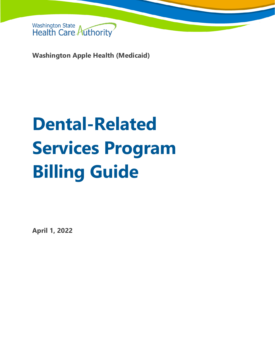

**Washington Apple Health (Medicaid)**

# **Dental-Related Services Program Billing Guide**

**April 1, 2022**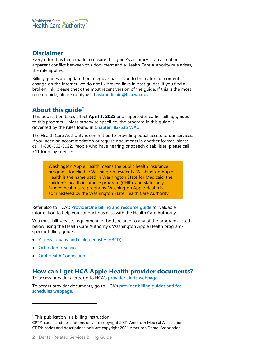

# **Disclaimer**

Every effort has been made to ensure this guide's accuracy. If an actual or apparent conflict between this document and a Health Care Authority rule arises, the rule applies.

Billing guides are updated on a regular basis. Due to the nature of content change on the internet, we do not fix broken links in past guides. If you find a broken link, please check the most recent version of the guide. If this is the most recent guide, please notify us at **[askmedicaid@hca.wa.gov](mailto:askmedicaid@hca.wa.gov)**.

# **About this guide[\\*](#page-1-0)**

This publication takes effect **April 1, 2022** and supersedes earlier billing guides to this program. Unless otherwise specified, the program in this guide is governed by the rules found in **[Chapter 182-535 WAC](https://apps.leg.wa.gov/wac/default.aspx?cite=182-535)**.

The Health Care Authority is committed to providing equal access to our services. If you need an accommodation or require documents in another format, please call 1-800-562-3022. People who have hearing or speech disabilities, please call 711 for relay services.

Washington Apple Health means the public health insurance programs for eligible Washington residents. Washington Apple Health is the name used in Washington State for Medicaid, the children's health insurance program (CHIP), and state-only funded health care programs. Washington Apple Health is administered by the Washington State Health Care Authority.

Refer also to HCA's **[ProviderOne billing and resource guide](http://www.hca.wa.gov/node/311)** for valuable information to help you conduct business with the Health Care Authority.

You must bill services, equipment, or both, related to any of the programs listed below using the Health Care Authority's Washington Apple Health programspecific billing guides:

- [Access to baby and child dentistry \(ABCD\)](http://www.hca.wa.gov/node/301)
- **[Orthodontic services](http://www.hca.wa.gov/node/301)**
- [Oral Health Connection](http://www.hca.wa.gov/node/301)

# **How can I get HCA Apple Health provider documents?**

To access provider alerts, go to HCA's **[provider alerts webpage](http://www.hca.wa.gov/node/316)**.

To access provider documents, go to HCA's **[provider billing guides and fee](http://www.hca.wa.gov/node/301)  [schedules webpage.](http://www.hca.wa.gov/node/301)**

<span id="page-1-0"></span><sup>\*</sup> This publication is a billing instruction.

CPT® codes and descriptions only are copyright 2021 American Medical Association. CDT® codes and descriptions only are copyright 2021 American Dental Association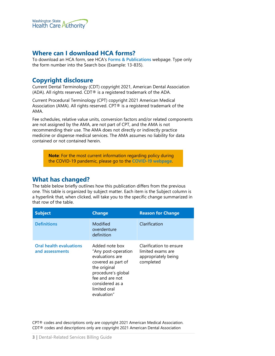

## <span id="page-2-0"></span>**Where can I download HCA forms?**

To download an HCA form, see HCA's **[Forms & Publications](http://www.hca.wa.gov/billers-providers/forms-and-publications)** webpage. Type only the form number into the Search box (Example: 13-835).

# **Copyright disclosure**

Current Dental Terminology (CDT) copyright 2021, American Dental Association (ADA). All rights reserved. CDT® is a registered trademark of the ADA.

Current Procedural Terminology (CPT) copyright 2021 American Medical Association (AMA). All rights reserved. CPT® is a registered trademark of the AMA.

Fee schedules, relative value units, conversion factors and/or related components are not assigned by the AMA, are not part of CPT, and the AMA is not recommending their use. The AMA does not directly or indirectly practice medicine or dispense medical services. The AMA assumes no liability for data contained or not contained herein.

**Note**: For the most current information regarding policy during the COVID-19 pandemic, please go to the **[COVID-19 webpage](https://www.hca.wa.gov/information-about-novel-coronavirus-covid-19)**.

#### **What has changed?**

The table below briefly outlines how this publication differs from the previous one. This table is organized by subject matter. Each item is the Subject column is a hyperlink that, when clicked, will take you to the specific change summarized in that row of the table.

| <b>Subject</b>                                    | <b>Change</b>                                                                                                                                                                             | <b>Reason for Change</b>                                                         |
|---------------------------------------------------|-------------------------------------------------------------------------------------------------------------------------------------------------------------------------------------------|----------------------------------------------------------------------------------|
| <b>Definitions</b>                                | Modified<br>overdenture<br>definition                                                                                                                                                     | Clarification                                                                    |
| <b>Oral health evaluations</b><br>and assessments | Added note box<br>"Any post-operation<br>evaluations are<br>covered as part of<br>the original<br>procedure's global<br>fee and are not<br>considered as a<br>limited oral<br>evaluation" | Clarification to ensure<br>limited exams are<br>appropriately being<br>completed |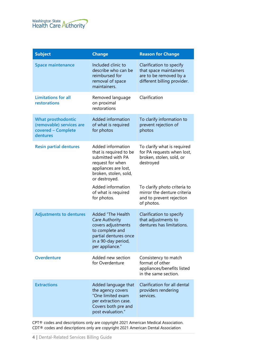

| <b>Subject</b>                                                                          | <b>Change</b>                                                                                                                                                 | <b>Reason for Change</b>                                                                                    |
|-----------------------------------------------------------------------------------------|---------------------------------------------------------------------------------------------------------------------------------------------------------------|-------------------------------------------------------------------------------------------------------------|
| <b>Space maintenance</b>                                                                | Included clinic to<br>describe who can be<br>reimbursed for<br>removal of space<br>maintainers.                                                               | Clarification to specify<br>that space maintainers<br>are to be removed by a<br>different billing provider. |
| <b>Limitations for all</b><br>restorations                                              | Removed language<br>on proximal<br>restorations                                                                                                               | Clarification                                                                                               |
| <b>What prosthodontic</b><br>(removable) services are<br>covered - Complete<br>dentures | Added information<br>of what is required<br>for photos                                                                                                        | To clarify information to<br>prevent rejection of<br>photos                                                 |
| <b>Resin partial dentures</b>                                                           | Added information<br>that is required to be<br>submitted with PA<br>request for when<br>appliances are lost,<br>broken, stolen, sold,<br>or destroyed.        | To clarify what is required<br>for PA requests when lost,<br>broken, stolen, sold, or<br>destroyed          |
|                                                                                         | Added information<br>of what is required<br>for photos.                                                                                                       | To clarify photo criteria to<br>mirror the denture criteria<br>and to prevent rejection<br>of photos.       |
| <b>Adjustments to dentures</b>                                                          | <b>Added "The Health</b><br><b>Care Authority</b><br>covers adjustments<br>to complete and<br>partial dentures once<br>in a 90-day period,<br>per appliance." | Clarification to specify<br>that adjustments to<br>dentures has limitations.                                |
| <b>Overdenture</b>                                                                      | Added new section<br>for Overdenture                                                                                                                          | Consistency to match<br>format of other<br>appliances/benefits listed<br>in the same section.               |
| <b>Extractions</b>                                                                      | Added language that<br>the agency covers<br>"One limited exam<br>per extraction case.<br>Covers both pre and<br>post evaluation."                             | Clarification for all dental<br>providers rendering<br>services.                                            |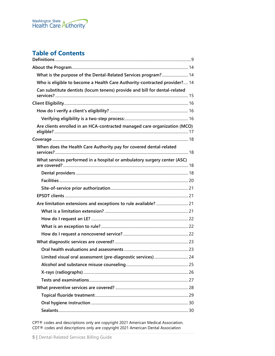

# **Table of Contents**

| What is the purpose of the Dental-Related Services program? 14             |  |
|----------------------------------------------------------------------------|--|
| Who is eligible to become a Health Care Authority-contracted provider? 14  |  |
| Can substitute dentists (locum tenens) provide and bill for dental-related |  |
|                                                                            |  |
|                                                                            |  |
|                                                                            |  |
| Are clients enrolled in an HCA-contracted managed care organization (MCO)  |  |
|                                                                            |  |
| When does the Health Care Authority pay for covered dental-related         |  |
| What services performed in a hospital or ambulatory surgery center (ASC)   |  |
|                                                                            |  |
|                                                                            |  |
|                                                                            |  |
|                                                                            |  |
|                                                                            |  |
|                                                                            |  |
|                                                                            |  |
|                                                                            |  |
|                                                                            |  |
|                                                                            |  |
|                                                                            |  |
| Limited visual oral assessment (pre-diagnostic services)  24               |  |
|                                                                            |  |
|                                                                            |  |
|                                                                            |  |
|                                                                            |  |
|                                                                            |  |
|                                                                            |  |
|                                                                            |  |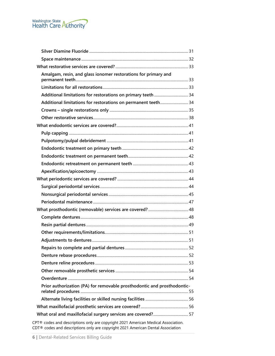

| Amalgam, resin, and glass ionomer restorations for primary and                  |  |
|---------------------------------------------------------------------------------|--|
|                                                                                 |  |
|                                                                                 |  |
| Additional limitations for restorations on permanent teeth 34                   |  |
|                                                                                 |  |
|                                                                                 |  |
|                                                                                 |  |
|                                                                                 |  |
|                                                                                 |  |
|                                                                                 |  |
|                                                                                 |  |
|                                                                                 |  |
|                                                                                 |  |
|                                                                                 |  |
|                                                                                 |  |
|                                                                                 |  |
|                                                                                 |  |
|                                                                                 |  |
|                                                                                 |  |
|                                                                                 |  |
|                                                                                 |  |
|                                                                                 |  |
|                                                                                 |  |
|                                                                                 |  |
|                                                                                 |  |
|                                                                                 |  |
|                                                                                 |  |
| Prior authorization (PA) for removable prosthodontic and prosthodontic-         |  |
|                                                                                 |  |
|                                                                                 |  |
|                                                                                 |  |
| DT® ander and descriptions only one convicted 2021 American Medical Association |  |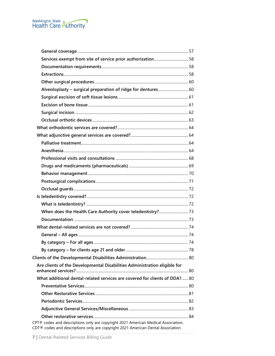

| Services exempt from site of service prior authorization 58                                                                                                          |  |
|----------------------------------------------------------------------------------------------------------------------------------------------------------------------|--|
|                                                                                                                                                                      |  |
|                                                                                                                                                                      |  |
|                                                                                                                                                                      |  |
| Alveoloplasty - surgical preparation of ridge for dentures 60                                                                                                        |  |
|                                                                                                                                                                      |  |
|                                                                                                                                                                      |  |
|                                                                                                                                                                      |  |
|                                                                                                                                                                      |  |
|                                                                                                                                                                      |  |
|                                                                                                                                                                      |  |
|                                                                                                                                                                      |  |
|                                                                                                                                                                      |  |
|                                                                                                                                                                      |  |
|                                                                                                                                                                      |  |
|                                                                                                                                                                      |  |
|                                                                                                                                                                      |  |
|                                                                                                                                                                      |  |
|                                                                                                                                                                      |  |
|                                                                                                                                                                      |  |
|                                                                                                                                                                      |  |
|                                                                                                                                                                      |  |
|                                                                                                                                                                      |  |
|                                                                                                                                                                      |  |
|                                                                                                                                                                      |  |
|                                                                                                                                                                      |  |
|                                                                                                                                                                      |  |
| Are clients of the Developmental Disabilities Administration eligible for                                                                                            |  |
| What additional dental-related services are covered for clients of DDA? 80                                                                                           |  |
|                                                                                                                                                                      |  |
|                                                                                                                                                                      |  |
|                                                                                                                                                                      |  |
|                                                                                                                                                                      |  |
|                                                                                                                                                                      |  |
| CPT® codes and descriptions only are copyright 2021 American Medical Association.<br>CDT® codes and descriptions only are copyright 2021 American Dental Association |  |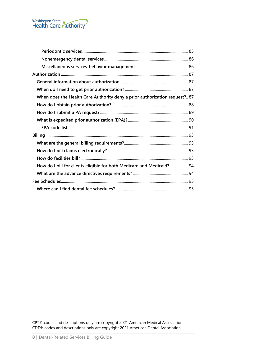

| When does the Health Care Authority deny a prior authorization request? 87 |  |
|----------------------------------------------------------------------------|--|
|                                                                            |  |
|                                                                            |  |
|                                                                            |  |
|                                                                            |  |
|                                                                            |  |
|                                                                            |  |
|                                                                            |  |
|                                                                            |  |
| How do I bill for clients eligible for both Medicare and Medicaid? 94      |  |
|                                                                            |  |
|                                                                            |  |
|                                                                            |  |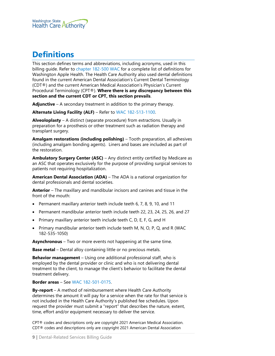

# <span id="page-8-0"></span>**Definitions**

This section defines terms and abbreviations, including acronyms, used in this billing guide. Refer to [chapter 182-500 WAC](http://app.leg.wa.gov/wac/default.aspx?cite=182-500) for a complete list of definitions for Washington Apple Health. The Health Care Authority also used dental definitions found in the current American Dental Association's Current Dental Terminology (CDT®) and the current American Medical Association's Physician's Current Procedural Terminology (CPT®). **Where there is any discrepancy between this section and the current CDT or CPT, this section prevails**.

**Adjunctive** – A secondary treatment in addition to the primary therapy.

**Alternate Living Facility (ALF)** – Refer to [WAC 182-513-1100.](http://app.leg.wa.gov/WAC/default.aspx?cite=182-513-1100)

**Alveoloplasty** – A distinct (separate procedure) from extractions. Usually in preparation for a prosthesis or other treatment such as radiation therapy and transplant surgery.

**Amalgam restorations (including polishing)** – Tooth preparation, all adhesives (including amalgam bonding agents). Liners and bases are included as part of the restoration.

**Ambulatory Surgery Center (ASC)** – Any distinct entity certified by Medicare as an ASC that operates exclusively for the purpose of providing surgical services to patients not requiring hospitalization.

**American Dental Association (ADA)** – The ADA is a national organization for dental professionals and dental societies.

**Anterior** – The maxillary and mandibular incisors and canines and tissue in the front of the mouth:

- Permanent maxillary anterior teeth include teeth 6, 7, 8, 9, 10, and 11
- Permanent mandibular anterior teeth include teeth 22, 23, 24, 25, 26, and 27
- Primary maxillary anterior teeth include teeth C, D, E, F, G, and H
- Primary mandibular anterior teeth include teeth M, N, O, P, Q, and R (WAC 182-535-1050)

**Asynchronous** – Two or more events not happening at the same time.

**Base metal** – Dental alloy containing little or no precious metals.

**Behavior management** – Using one additional professional staff, who is employed by the dental provider or clinic and who is not delivering dental treatment to the client, to manage the client's behavior to facilitate the dental treatment delivery.

**Border areas** – See [WAC 182-501-0175.](http://app.leg.wa.gov/wac/default.aspx?cite=182-501-0175)

**By-report** – A method of reimbursement where Health Care Authority determines the amount it will pay for a service when the rate for that service is not included in the Health Care Authority's published fee schedules. Upon request the provider must submit a "report" that describes the nature, extent, time, effort and/or equipment necessary to deliver the service.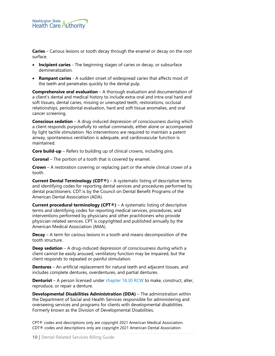

**Caries** – Carious lesions or tooth decay through the enamel or decay on the root surface.

- **Incipient caries** The beginning stages of caries or decay, or subsurface demineralization.
- **Rampant caries** A sudden onset of widespread caries that affects most of the teeth and penetrates quickly to the dental pulp.

**Comprehensive oral evaluation** – A thorough evaluation and documentation of a client's dental and medical history to include extra-oral and intra-oral hard and soft tissues, dental caries, missing or unerupted teeth, restorations, occlusal relationships, periodontal evaluation, hard and soft tissue anomalies, and oral cancer screening.

**Conscious sedation** – A drug-induced depression of consciousness during which a client responds purposefully to verbal commands, either alone or accompanied by light tactile stimulation. No interventions are required to maintain a patent airway, spontaneous ventilation is adequate, and cardiovascular function is maintained.

**Core build-up** – Refers to building up of clinical crowns, including pins.

**Coronal** – The portion of a tooth that is covered by enamel.

**Crown** – A restoration covering or replacing part or the whole clinical crown of a tooth.

**Current Dental Terminology (CDT®)** – A systematic listing of descriptive terms and identifying codes for reporting dental services and procedures performed by dental practitioners. CDT is by the Council on Dental Benefit Programs of the American Dental Association (ADA).

**Current procedural terminology (CPT®)** – A systematic listing of descriptive terms and identifying codes for reporting medical services, procedures, and interventions performed by physicians and other practitioners who provide physician-related services. CPT is copyrighted and published annually by the American Medical Association (AMA).

**Decay** – A term for carious lesions in a tooth and means decomposition of the tooth structure.

**Deep sedation** – A drug-induced depression of consciousness during which a client cannot be easily aroused, ventilatory function may be impaired, but the client responds to repeated or painful stimulation.

**Dentures** – An artificial replacement for natural teeth and adjacent tissues, and includes complete dentures, overdentures, and partial dentures.

**Denturist** – A person licensed under [chapter 18.30 RCW](http://app.leg.wa.gov/rcw/default.aspx?cite=18.30) to make, construct, alter, reproduce, or repair a denture.

**Developmental Disabilities Administration (DDA)** – The administration within the Department of Social and Health Services responsible for administering and overseeing services and programs for clients with developmental disabilities. Formerly known as the Division of Developmental Disabilities.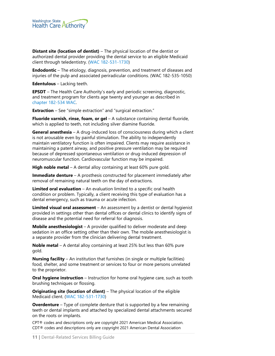

**Distant site (location of dentist)** – The physical location of the dentist or authorized dental provider providing the dental service to an eligible Medicaid client through teledentistry. [\(WAC 182-531-1730\)](https://apps.leg.wa.gov/wac/default.aspx?cite=182-531-1730)

**Endodontic** – The etiology, diagnosis, prevention, and treatment of diseases and injuries of the pulp and associated periradicular conditions. (WAC 182-535-1050)

**Edentulous** – Lacking teeth.

**EPSDT** – The Health Care Authority's early and periodic screening, diagnostic, and treatment program for clients age twenty and younger as described in [chapter 182-534 WAC.](https://apps.leg.wa.gov/wac/default.aspx?cite=182-534)

**Extraction** – See "simple extraction" and "surgical extraction."

**Fluoride varnish, rinse, foam, or gel** – A substance containing dental fluoride, which is applied to teeth, not including silver diamine fluoride.

**General anesthesia** – A drug-induced loss of consciousness during which a client is not arousable even by painful stimulation. The ability to independently maintain ventilatory function is often impaired. Clients may require assistance in maintaining a patent airway, and positive pressure ventilation may be required because of depressed spontaneous ventilation or drug-induced depression of neuromuscular function. Cardiovascular function may be impaired.

**High noble metal** – A dental alloy containing at least 60% pure gold.

**Immediate denture** – A prosthesis constructed for placement immediately after removal of remaining natural teeth on the day of extractions.

**Limited oral evaluation** – An evaluation limited to a specific oral health condition or problem. Typically, a client receiving this type of evaluation has a dental emergency, such as trauma or acute infection.

**Limited visual oral assessment** – An assessment by a dentist or dental hygienist provided in settings other than dental offices or dental clinics to identify signs of disease and the potential need for referral for diagnosis.

**Mobile anesthesiologist** – A provider qualified to deliver moderate and deep sedation in an office setting other than their own. The mobile anesthesiologist is a separate provider from the clinician delivering dental treatment.

**Noble metal** – A dental alloy containing at least 25% but less than 60% pure gold.

**Nursing facility** – An institution that furnishes (in single or multiple facilities) food, shelter, and some treatment or services to four or more persons unrelated to the proprietor.

**Oral hygiene instruction** – Instruction for home oral hygiene care, such as tooth brushing techniques or flossing.

**Originating site (location of client)** – The physical location of the eligible Medicaid client. [\(WAC 182-531-1730\)](https://apps.leg.wa.gov/wac/default.aspx?cite=182-531-1730)

**Overdenture** – Type of complete denture that is supported by a few remaining teeth or dental implants and attached by specialized dental attachments secured on the roots or implants.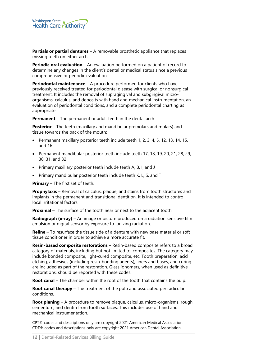

**Partials or partial dentures** – A removable prosthetic appliance that replaces missing teeth on either arch.

**Periodic oral evaluation** – An evaluation performed on a patient of record to determine any changes in the client's dental or medical status since a previous comprehensive or periodic evaluation.

**Periodontal maintenance** – A procedure performed for clients who have previously received treated for periodontal disease with surgical or nonsurgical treatment. It includes the removal of supragingival and subgingival microorganisms, calculus, and deposits with hand and mechanical instrumentation, an evaluation of periodontal conditions, and a complete periodontal charting as appropriate.

**Permanent** – The permanent or adult teeth in the dental arch.

**Posterior** – The teeth (maxillary and mandibular premolars and molars) and tissue towards the back of the mouth:

- Permanent maxillary posterior teeth include teeth 1, 2, 3, 4, 5, 12, 13, 14, 15, and 16
- Permanent mandibular posterior teeth include teeth 17, 18, 19, 20, 21, 28, 29, 30, 31, and 32
- Primary maxillary posterior teeth include teeth A, B, I, and J
- Primary mandibular posterior teeth include teeth K, L, S, and T

**Primary** – The first set of teeth.

**Prophylaxis** – Removal of calculus, plaque, and stains from tooth structures and implants in the permanent and transitional dentition. It is intended to control local irritational factors.

**Proximal** – The surface of the tooth near or next to the adjacent tooth.

**Radiograph (x-ray)** – An image or picture produced on a radiation sensitive film emulsion or digital sensor by exposure to ionizing radiation.

**Reline** – To resurface the tissue side of a denture with new base material or soft tissue conditioner in order to achieve a more accurate fit.

**Resin-based composite restorations** – Resin-based composite refers to a broad category of materials, including but not limited to, composites. The category may include bonded composite, light-cured composite, etc. Tooth preparation, acid etching, adhesives (including resin-bonding agents), liners and bases, and curing are included as part of the restoration. Glass ionomers, when used as definitive restorations, should be reported with these codes.

**Root canal** – The chamber within the root of the tooth that contains the pulp.

**Root canal therapy** – The treatment of the pulp and associated periradicular conditions.

**Root planing** – A procedure to remove plaque, calculus, micro-organisms, rough cementum, and dentin from tooth surfaces. This includes use of hand and mechanical instrumentation.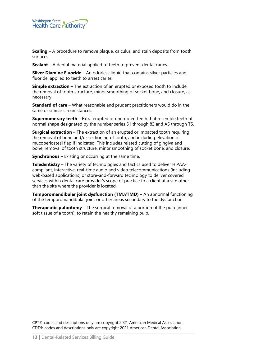

**Scaling** – A procedure to remove plaque, calculus, and stain deposits from tooth surfaces.

**Sealant** – A dental material applied to teeth to prevent dental caries.

**Silver Diamine Fluoride** – An odorless liquid that contains silver particles and fluoride, applied to teeth to arrest caries.

**Simple extraction** – The extraction of an erupted or exposed tooth to include the removal of tooth structure, minor smoothing of socket bone, and closure, as necessary.

**Standard of care** – What reasonable and prudent practitioners would do in the same or similar circumstances.

**Supernumerary teeth** – Extra erupted or unerupted teeth that resemble teeth of normal shape designated by the number series 51 through 82 and AS through TS.

**Surgical extraction** – The extraction of an erupted or impacted tooth requiring the removal of bone and/or sectioning of tooth, and including elevation of mucoperiosteal flap if indicated. This includes related cutting of gingiva and bone, removal of tooth structure, minor smoothing of socket bone, and closure.

**Synchronous** – Existing or occurring at the same time.

**Teledentistry** – The variety of technologies and tactics used to deliver HIPAAcompliant, interactive, real-time audio and video telecommunications (including web-based applications) or store-and-forward technology to deliver covered services within dental care provider's scope of practice to a client at a site other than the site where the provider is located.

**Temporomandibular joint dysfunction (TMJ/TMD)** – An abnormal functioning of the temporomandibular joint or other areas secondary to the dysfunction.

**Therapeutic pulpotomy** – The surgical removal of a portion of the pulp (inner soft tissue of a tooth), to retain the healthy remaining pulp.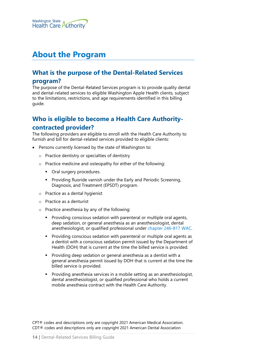

# <span id="page-13-0"></span>**About the Program**

# <span id="page-13-1"></span>**What is the purpose of the Dental-Related Services**

#### **program?**

The purpose of the Dental-Related Services program is to provide quality dental and dental-related services to eligible Washington Apple Health clients, subject to the limitations, restrictions, and age requirements identified in this billing guide.

# <span id="page-13-2"></span>**Who is eligible to become a Health Care Authoritycontracted provider?**

The following providers are eligible to enroll with the Health Care Authority to furnish and bill for dental-related services provided to eligible clients:

- Persons currently licensed by the state of Washington to:
	- o Practice dentistry or specialties of dentistry
	- o Practice medicine and osteopathy for either of the following:
		- Oral surgery procedures.
		- **Providing fluoride varnish under the Early and Periodic Screening,** Diagnosis, and Treatment (EPSDT) program.
	- o Practice as a dental hygienist
	- o Practice as a denturist
	- o Practice anesthesia by any of the following:
		- **Providing conscious sedation with parenteral or multiple oral agents,** deep sedation, or general anesthesia as an anesthesiologist, dental anesthesiologist, or qualified professional under [chapter 246-817 WAC.](http://app.leg.wa.gov/wac/default.aspx?cite=246-817)
		- **Providing conscious sedation with parenteral or multiple oral agents as** a dentist with a conscious sedation permit issued by the Department of Health (DOH) that is current at the time the billed service is provided.
		- Providing deep sedation or general anesthesia as a dentist with a general anesthesia permit issued by DOH that is current at the time the billed service is provided.
		- **Providing anesthesia services in a mobile setting as an anesthesiologist,** dental anesthesiologist, or qualified professional who holds a current mobile anesthesia contract with the Health Care Authority.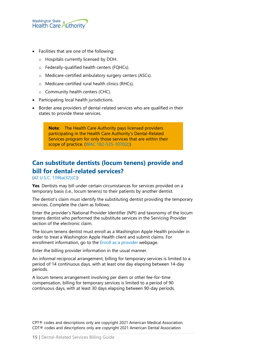

- Facilities that are one of the following:
	- o Hospitals currently licensed by DOH.
	- o Federally-qualified health centers (FQHCs).
	- o Medicare-certified ambulatory surgery centers (ASCs).
	- o Medicare-certified rural health clinics (RHCs).
	- o Community health centers (CHC).
- Participating local health jurisdictions.
- Border area providers of dental-related services who are qualified in their states to provide these services.

**Note**: The Health Care Authority pays licensed providers participating in the Health Care Authority's Dental-Related Services program for only those services that are within their scope of practice. [\(WAC 182-535-1070\(2\)\)](http://app.leg.wa.gov/wac/default.aspx?cite=182-535-1070)

# <span id="page-14-0"></span>**Can substitute dentists (locum tenens) provide and bill for dental-related services?**

[\(42 U.S.C. 1396a\(32\)\(C\)\)](https://www.law.cornell.edu/uscode/text/42/1396a)

**Yes**. Dentists may bill under certain circumstances for services provided on a temporary basis (i.e., locum tenens) to their patients by another dentist.

The dentist's claim must identify the substituting dentist providing the temporary services. Complete the claim as follows:

Enter the provider's National Provider Identifier (NPI) and taxonomy of the locum tenens dentist who performed the substitute services in the Servicing Provider section of the electronic claim.

The locum tenens dentist must enroll as a Washington Apple Health provider in order to treat a Washington Apple Health client and submit claims. For enrollment information, go to the [Enroll as a provider](https://www.hca.wa.gov/billers-providers-partners/apple-health-medicaid-providers/enroll-provider) webpage.

Enter the billing provider information in the usual manner.

An informal reciprocal arrangement, billing for temporary services is limited to a period of 14 continuous days, with at least one day elapsing between 14-day periods.

A locum tenens arrangement involving per diem or other fee-for-time compensation, billing for temporary services is limited to a period of 90 continuous days, with at least 30 days elapsing between 90-day periods.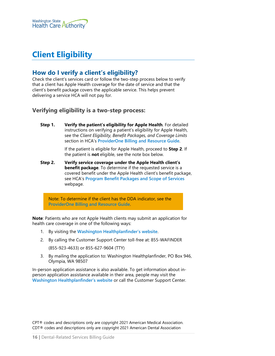

# <span id="page-15-0"></span>**Client Eligibility**

# <span id="page-15-1"></span>**How do I verify a client's eligibility?**

Check the client's services card or follow the two-step process below to verify that a client has Apple Health coverage for the date of service and that the client's benefit package covers the applicable service. This helps prevent delivering a service HCA will not pay for.

#### <span id="page-15-2"></span>**Verifying eligibility is a two-step process:**

**Step 1. Verify the patient's eligibility for Apple Health**. For detailed instructions on verifying a patient's eligibility for Apple Health, see the *Client Eligibility, Benefit Packages, and Coverage Limits* section in HCA's **[ProviderOne Billing and Resource Guide](http://www.hca.wa.gov/node/311)**.

> If the patient is eligible for Apple Health, proceed to **Step 2**. If the patient is **not** eligible, see the note box below.

**Step 2. Verify service coverage under the Apple Health client's benefit package**. To determine if the requested service is a covered benefit under the Apple Health client's benefit package, see HCA's **[Program Benefit Packages and Scope of Services](http://www.hca.wa.gov/node/2391)** webpage.

Note: To determine if the client has the DDA indicator, see the **[ProviderOne Billing and Resource Guide](http://www.hca.wa.gov/node/311)**.

**Note**: Patients who are not Apple Health clients may submit an application for health care coverage in one of the following ways:

- 1. By visiting the **[Washington Healthplanfinder's website](http://www.wahealthplanfinder.org/)**.
- 2. By calling the Customer Support Center toll-free at: 855-WAFINDER

(855-923-4633) or 855-627-9604 (TTY)

3. By mailing the application to: Washington Healthplanfinder, PO Box 946, Olympia, WA 98507

In-person application assistance is also available. To get information about inperson application assistance available in their area, people may visit the **[Washington Healthplanfinder's website](http://www.wahealthplanfinder.org/)** or call the Customer Support Center.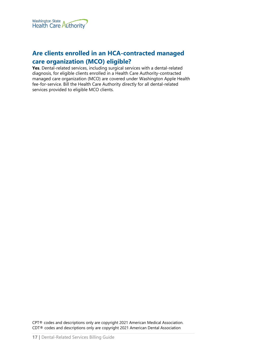

# <span id="page-16-0"></span>**Are clients enrolled in an HCA-contracted managed care organization (MCO) eligible?**

**Yes**. Dental-related services, including surgical services with a dental-related diagnosis, for eligible clients enrolled in a Health Care Authority-contracted managed care organization (MCO) are covered under Washington Apple Health fee-for-service. Bill the Health Care Authority directly for all dental-related services provided to eligible MCO clients.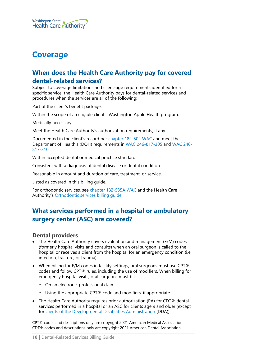

# <span id="page-17-0"></span>**Coverage**

# <span id="page-17-1"></span>**When does the Health Care Authority pay for covered dental-related services?**

Subject to coverage limitations and client-age requirements identified for a specific service, the Health Care Authority pays for dental-related services and procedures when the services are all of the following:

Part of the client's benefit package.

Within the scope of an eligible client's Washington Apple Health program.

Medically necessary.

Meet the Health Care Authority's authorization requirements, if any.

Documented in the client's record per [chapter 182-502 WAC](http://app.leg.wa.gov/WAC/default.aspx?cite=182-502) and meet the Department of Health's (DOH) requirements in [WAC 246-817-305](http://app.leg.wa.gov/WAC/default.aspx?cite=246-817-305) and [WAC 246-](http://app.leg.wa.gov/WAC/default.aspx?cite=246-817-310) [817-310.](http://app.leg.wa.gov/WAC/default.aspx?cite=246-817-310)

Within accepted dental or medical practice standards.

Consistent with a diagnosis of dental disease or dental condition.

Reasonable in amount and duration of care, treatment, or service.

Listed as covered in this billing guide.

For orthodontic services, see [chapter 182-535A WAC](http://app.leg.wa.gov/wac/default.aspx?cite=182-535A) and the Health Care Authority's [Orthodontic services billing guide.](http://www.hca.wa.gov/node/301)

# <span id="page-17-2"></span>**What services performed in a hospital or ambulatory surgery center (ASC) are covered?**

#### <span id="page-17-3"></span>**Dental providers**

- The Health Care Authority covers evaluation and management (E/M) codes (formerly hospital visits and consults) when an oral surgeon is called to the hospital or receives a client from the hospital for an emergency condition (i.e., infection, fracture, or trauma).
- When billing for  $E/M$  codes in facility settings, oral surgeons must use CPT<sup>®</sup> codes and follow CPT® rules, including the use of modifiers. When billing for emergency hospital visits, oral surgeons must bill:
	- o On an electronic professional claim.
	- $\circ$  Using the appropriate CPT® code and modifiers, if appropriate.
- The Health Care Authority requires prior authorization (PA) for CDT<sup>®</sup> dental services performed in a hospital or an ASC for clients age 9 and older (except for [clients of the Developmental Disabilities Administration](#page-79-0) (DDA)).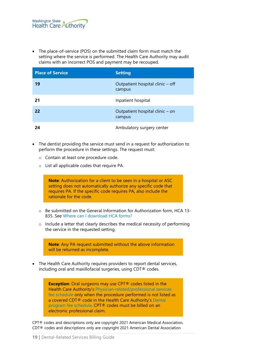• The place-of-service (POS) on the submitted claim form must match the setting where the service is performed. The Health Care Authority may audit claims with an incorrect POS and payment may be recouped.

| <b>Place of Service</b> | <b>Setting</b>                             |
|-------------------------|--------------------------------------------|
| 19                      | Outpatient hospital clinic – off<br>campus |
| 21                      | Inpatient hospital                         |
| 22                      | Outpatient hospital clinic – on<br>campus  |
| 24                      | Ambulatory surgery center                  |

- The dentist providing the service must send in a request for authorization to perform the procedure in these settings. The request must:
	- o Contain at least one procedure code.
	- o List all applicable codes that require PA.

**Note**: Authorization for a client to be seen in a hospital or ASC setting does not automatically authorize any specific code that requires PA. If the specific code requires PA, also include the rationale for the code.

- o Be submitted on the General Information for Authorization form, HCA 13- 835. See [Where can I download HCA](#page-2-0) forms?
- o Include a letter that clearly describes the medical necessity of performing the service in the requested setting.

**Note**: Any PA request submitted without the above information will be returned as incomplete. • The Health Care Authority requires providers to report dental services, including oral and maxillofacial surgeries, using CDT® codes. **Exception**: Oral surgeons may use CPT<sup>®</sup> codes listed in the Health Care Authority's [Physician-related/professional services](http://www.hca.wa.gov/node/301)  [fee schedule](http://www.hca.wa.gov/node/301) only when the procedure performed is not listed as a covered CDT® code in the Health Care Authority's [Dental](http://www.hca.wa.gov/node/301)  [program fee schedule.](http://www.hca.wa.gov/node/301) CPT® codes must be billed on an

electronic professional claim.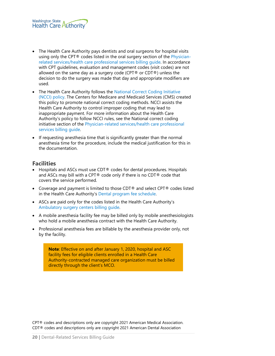

- The Health Care Authority pays dentists and oral surgeons for hospital visits using only the CPT® codes listed in the oral surgery section of the *Physician*[related services/health care professional services billing guide.](http://www.hca.wa.gov/node/301) In accordance with CPT guidelines, evaluation and management codes (visit codes) are not allowed on the same day as a surgery code (CPT® or CDT®) unless the decision to do the surgery was made that day and appropriate modifiers are used.
- The Health Care Authority follows the National Correct Coding Initiative [\(NCCI\) policy.](https://www.medicaid.gov/medicaid/program-integrity/ncci/index.html) The Centers for Medicare and Medicaid Services (CMS) created this policy to promote national correct coding methods. NCCI assists the Health Care Authority to control improper coding that may lead to inappropriate payment. For more information about the Health Care Authority's policy to follow NCCI rules, see the National correct coding initiative section of the [Physician-related services/health care professional](http://www.hca.wa.gov/node/301)  [services billing guide.](http://www.hca.wa.gov/node/301)
- If requesting anesthesia time that is significantly greater than the normal anesthesia time for the procedure, include the medical justification for this in the documentation.

#### <span id="page-19-0"></span>**Facilities**

- Hospitals and ASCs must use CDT® codes for dental procedures. Hospitals and ASCs may bill with a CPT® code only if there is no CDT® code that covers the service performed.
- Coverage and payment is limited to those CDT® and select CPT® codes listed in the Health Care Authority's [Dental program fee schedule.](http://www.hca.wa.gov/node/301)
- ASCs are paid only for the codes listed in the Health Care Authority's [Ambulatory surgery centers billing guide.](http://www.hca.wa.gov/node/301)
- A mobile anesthesia facility fee may be billed only by mobile anesthesiologists who hold a mobile anesthesia contract with the Health Care Authority.
- Professional anesthesia fees are billable by the anesthesia provider only, not by the facility.

**Note**: Effective on and after January 1, 2020, hospital and ASC facility fees for eligible clients enrolled in a Health Care Authority-contracted managed care organization must be billed directly through the client's MCO.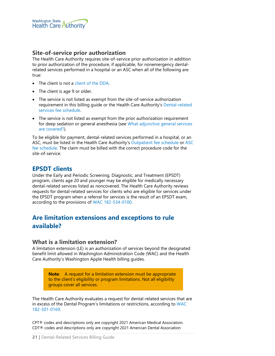

#### <span id="page-20-0"></span>**Site-of-service prior authorization**

The Health Care Authority requires site-of-service prior authorization in addition to prior authorization of the procedure, if applicable, for nonemergency dentalrelated services performed in a hospital or an ASC when all of the following are true:

- The client is not a [client of the DDA.](#page-79-0)
- The client is age 9 or older.
- The service is not listed as exempt from the site-of-service authorization requirement in this billing guide or the Health Care Authority's [Dental-related](http://www.hca.wa.gov/node/301)  [services fee schedule.](http://www.hca.wa.gov/node/301)
- The service is not listed as exempt from the prior authorization requirement for deep sedation or general anesthesia (see [What adjunctive general services](#page-63-1)  [are covered?\)](#page-63-1).

To be eligible for payment, dental-related services performed in a hospital, or an ASC, must be listed in the Health Care Authority's [Outpatient fee schedule](http://www.hca.wa.gov/node/301) or [ASC](http://www.hca.wa.gov/node/301)  [fee schedule.](http://www.hca.wa.gov/node/301) The claim must be billed with the correct procedure code for the site-of-service.

## <span id="page-20-1"></span>**EPSDT clients**

Under the Early and Periodic Screening, Diagnostic, and Treatment (EPSDT) program, clients age 20 and younger may be eligible for medically necessary dental-related services listed as noncovered. The Health Care Authority reviews requests for dental-related services for clients who are eligible for services under the EPSDT program when a referral for services is the result of an EPSDT exam, according to the provisions of [WAC 182-534-0100.](http://app.leg.wa.gov/wac/default.aspx?cite=182-534-0100)

# <span id="page-20-2"></span>**Are limitation extensions and exceptions to rule available?**

#### <span id="page-20-3"></span>**What is a limitation extension?**

A limitation extension (LE) is an authorization of services beyond the designated benefit limit allowed in Washington Administration Code (WAC) and the Health Care Authority's Washington Apple Health billing guides.

> **Note**: A request for a limitation extension must be appropriate to the client's eligibility or program limitations. Not all eligibility groups cover all services.

The Health Care Authority evaluates a request for dental-related services that are in excess of the Dental Program's limitations or restrictions, according to [WAC](http://app.leg.wa.gov/wac/default.aspx?cite=182-501-0169)  [182-501-0169.](http://app.leg.wa.gov/wac/default.aspx?cite=182-501-0169)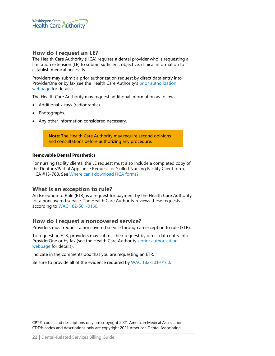

#### <span id="page-21-0"></span>**How do I request an LE?**

The Health Care Authority (HCA) requires a dental provider who is requesting a limitation extension (LE) to submit sufficient, objective, clinical information to establish medical necessity.

Providers may submit a prior authorization request by direct data entry into ProviderOne or by fax(see the Health Care Authority's prior [authorization](https://www.hca.wa.gov/billers-providers-partners/prior-authorization-claims-and-billing/prior-authorization-pa)  [webpage](https://www.hca.wa.gov/billers-providers-partners/prior-authorization-claims-and-billing/prior-authorization-pa) for details).

The Health Care Authority may request additional information as follows:

- Additional x-rays (radiographs).
- Photographs.
- Any other information considered necessary.

**Note**: The Health Care Authority may require second opinions and consultations before authorizing any procedure.

#### **Removable Dental Prosthetics**

For nursing facility clients, the LE request must also include a completed copy of the Denture/Partial Appliance Request for Skilled Nursing Facility Client form, HCA #13-788. See [Where can I download HCA](#page-2-0) forms?

#### <span id="page-21-1"></span>**What is an exception to rule?**

An Exception to Rule (ETR) is a request for payment by the Health Care Authority for a noncovered service. The Health Care Authority reviews these requests according to [WAC 182-501-0160.](http://app.leg.wa.gov/wac/default.aspx?cite=182-501-0160) 

#### <span id="page-21-2"></span>**How do I request a noncovered service?**

Providers must request a noncovered service through an exception to rule (ETR).

To request an ETR, providers may submit their request by direct data entry into ProviderOne or by fax (see the Health Care Authority's [prior authorization](https://www.hca.wa.gov/billers-providers-partners/prior-authorization-claims-and-billing/prior-authorization-pa)  [webpage](https://www.hca.wa.gov/billers-providers-partners/prior-authorization-claims-and-billing/prior-authorization-pa) for details).

Indicate in the comments box that you are requesting an ETR.

Be sure to provide all of the evidence required by [WAC 182-501-0160.](http://app.leg.wa.gov/wac/default.aspx?cite=182-501-0160)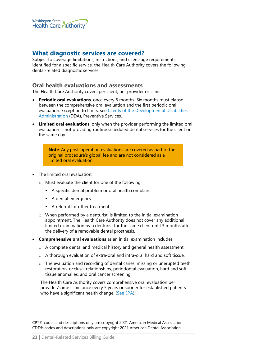

## <span id="page-22-1"></span>**What diagnostic services are covered?**

Subject to coverage limitations, restrictions, and client-age requirements identified for a specific service, the Health Care Authority covers the following dental-related diagnostic services:

#### <span id="page-22-0"></span>**Oral health evaluations and assessments**

The Health Care Authority covers per client, per provider or clinic:

- **Periodic oral evaluations**, once every 6 months. Six months must elapse between the comprehensive oral evaluation and the first periodic oral evaluation. Exception to limits, see [Clients of the Developmental Disabilities](#page-79-3)  [Administration](#page-79-3) (DDA), Preventive Services.
- **Limited oral evaluations**, only when the provider performing the limited oral evaluation is not providing routine scheduled dental services for the client on the same day.

**Note**: Any post-operation evaluations are covered as part of the original procedure's global fee and are not considered as a limited oral evaluation.

- The limited oral evaluation:
	- o Must evaluate the client for one of the following:
		- A specific dental problem or oral health complaint
		- A dental emergency
		- A referral for other treatment
	- o When performed by a denturist, is limited to the initial examination appointment. The Health Care Authority does not cover any additional limited examination by a denturist for the same client until 3 months after the delivery of a removable dental prosthesis.
- **Comprehensive oral evaluations** as an initial examination includes:
	- o A complete dental and medical history and general health assessment.
	- o A thorough evaluation of extra-oral and intra-oral hard and soft tissue.
	- o The evaluation and recording of dental caries, missing or unerupted teeth, restoration, occlusal relationships, periodontal evaluation, hard and soft tissue anomalies, and oral cancer screening.

The Health Care Authority covers comprehensive oral evaluation per provider/same clinic once every 5 years or sooner for established patients who have a significant health change. [\(See EPA\)](#page-89-0).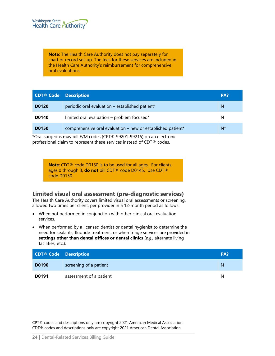

**Note**: The Health Care Authority does not pay separately for chart or record set-up. The fees for these services are included in the Health Care Authority's reimbursement for comprehensive oral evaluations.

| <b>CDT<sup>®</sup></b> Code Description |                                                             | PA?   |
|-----------------------------------------|-------------------------------------------------------------|-------|
| <b>D0120</b>                            | periodic oral evaluation - established patient*             | N     |
| <b>D0140</b>                            | limited oral evaluation – problem focused*                  | N     |
| <b>D0150</b>                            | comprehensive oral evaluation - new or established patient* | $N^*$ |

\*Oral surgeons may bill E/M codes (CPT® 99201-99215) on an electronic professional claim to represent these services instead of CDT® codes.

> **Note**: CDT® code D0150 is to be used for all ages. For clients ages 0 through 3, **do not** bill CDT® code D0145. Use CDT® code D0150.

#### <span id="page-23-0"></span>**Limited visual oral assessment (pre-diagnostic services)**

The Health Care Authority covers limited visual oral assessments or screening, allowed two times per client, per provider in a 12-month period as follows:

- When not performed in conjunction with other clinical oral evaluation services.
- When performed by a licensed dentist or dental hygienist to determine the need for sealants, fluoride treatment, or when triage services are provided in **settings other than dental offices or dental clinics** (*e.g*., alternate living facilities, etc.).

| <b>CDT® Code Description</b> |                         | PA? |
|------------------------------|-------------------------|-----|
| <b>D0190</b>                 | screening of a patient  | N   |
| <b>D0191</b>                 | assessment of a patient | N   |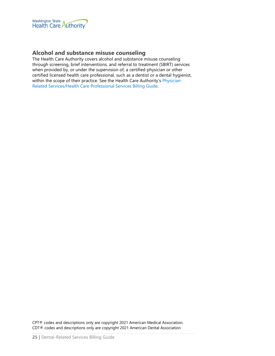

## <span id="page-24-0"></span>**Alcohol and substance misuse counseling**

The Health Care Authority covers alcohol and substance misuse counseling through screening, brief interventions, and referral to treatment (SBIRT) services when provided by, or under the supervision of, a certified physician or other certified licensed health care professional, such as a dentist or a dental hygienist, within the scope of their practice. See the Health Care Authority's [Physician-](http://www.hca.wa.gov/node/301#collapse40)[Related Services/Health Care Professional Services Billing Guide.](http://www.hca.wa.gov/node/301#collapse40)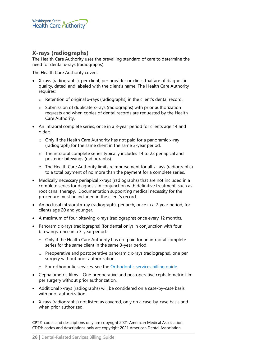

## <span id="page-25-0"></span>**X-rays (radiographs)**

The Health Care Authority uses the prevailing standard of care to determine the need for dental x-rays (radiographs).

The Health Care Authority covers:

- X-rays (radiographs), per client, per provider or clinic, that are of diagnostic quality, dated, and labeled with the client's name. The Health Care Authority requires:
	- o Retention of original x-rays (radiographs) in the client's dental record.
	- o Submission of duplicate x-rays (radiographs) with prior authorization requests and when copies of dental records are requested by the Health Care Authority.
- An intraoral complete series, once in a 3-year period for clients age 14 and older:
	- o Only if the Health Care Authority has not paid for a panoramic x-ray (radiograph) for the same client in the same 3-year period.
	- o The intraoral complete series typically includes 14 to 22 periapical and posterior bitewings (radiographs).
	- $\circ$  The Health Care Authority limits reimbursement for all x-rays (radiographs) to a total payment of no more than the payment for a complete series.
- Medically necessary periapical x-rays (radiographs) that are not included in a complete series for diagnosis in conjunction with definitive treatment, such as root canal therapy. Documentation supporting medical necessity for the procedure must be included in the client's record.
- An occlusal intraoral x-ray (radiograph), per arch, once in a 2-year period, for clients age 20 and younger.
- A maximum of four bitewing x-rays (radiographs) once every 12 months.
- Panoramic x-rays (radiographs) (for dental only) in conjunction with four bitewings, once in a 3-year period:
	- o Only if the Health Care Authority has not paid for an intraoral complete series for the same client in the same 3-year period.
	- o Preoperative and postoperative panoramic x-rays (radiographs), one per surgery without prior authorization.
	- o For orthodontic services, see the [Orthodontic services billing guide.](http://www.hca.wa.gov/node/301)
- Cephalometric films One preoperative and postoperative cephalometric film per surgery without prior authorization.
- Additional x-rays (radiographs) will be considered on a case-by-case basis with prior authorization.
- X-rays (radiographs) not listed as covered, only on a case-by-case basis and when prior authorized.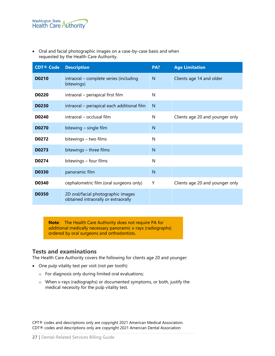• Oral and facial photographic images on a case-by-case basis and when requested by the Health Care Authority.

| <b>CDT® Code</b> | <b>Description</b>                                                        | PA? | <b>Age Limitation</b>           |
|------------------|---------------------------------------------------------------------------|-----|---------------------------------|
| <b>D0210</b>     | intraoral - complete series (including<br>bitewings)                      | N   | Clients age 14 and older        |
| D0220            | intraoral – periapical first film                                         | N   |                                 |
| <b>D0230</b>     | intraoral - periapical each additional film                               | N   |                                 |
| D0240            | intraoral - occlusal film                                                 | N   | Clients age 20 and younger only |
| <b>D0270</b>     | bitewing - single film                                                    | N   |                                 |
| D0272            | bitewings - two films                                                     | N   |                                 |
| D0273            | bitewings - three films                                                   | N   |                                 |
| D0274            | bitewings - four films                                                    | N   |                                 |
| <b>D0330</b>     | panoramic film                                                            | N   |                                 |
| D0340            | cephalometric film (oral surgeons only)                                   | Υ   | Clients age 20 and younger only |
| <b>D0350</b>     | 2D oral/facial photographic images<br>obtained intraorally or extraorally |     |                                 |

**Note**: The Health Care Authority does not require PA for additional medically necessary panoramic x-rays (radiographs) ordered by oral surgeons and orthodontists.

## <span id="page-26-0"></span>**Tests and examinations**

The Health Care Authority covers the following for clients age 20 and younger:

- One pulp vitality test per visit (not per tooth):
	- o For diagnosis only during limited oral evaluations;
	- o When x-rays (radiographs) or documented symptoms, or both, justify the medical necessity for the pulp vitality test.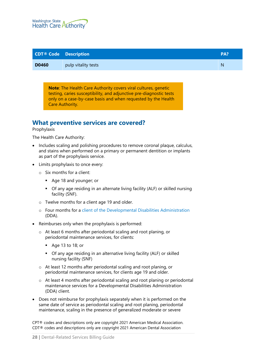

| <b>CDT<sup>®</sup></b> Code Description |                     | PA? |
|-----------------------------------------|---------------------|-----|
| <b>D0460</b>                            | pulp vitality tests | N   |

**Note**: The Health Care Authority covers viral cultures, genetic testing, caries susceptibility, and adjunctive pre-diagnostic tests only on a case-by-case basis and when requested by the Health Care Authority.

# <span id="page-27-0"></span>**What preventive services are covered?**

#### Prophylaxis

The Health Care Authority:

- Includes scaling and polishing procedures to remove coronal plaque, calculus, and stains when performed on a primary or permanent dentition or implants as part of the prophylaxis service.
- Limits prophylaxis to once every:
	- o Six months for a client:
		- Age 18 and younger; or
		- Of any age residing in an alternate living facility (ALF) or skilled nursing facility (SNF).
	- o Twelve months for a client age 19 and older.
	- o Four months for a [client of the Developmental Disabilities Administration](#page-79-0) (DDA).
- Reimburses only when the prophylaxis is performed:
	- o At least 6 months after periodontal scaling and root planing, or periodontal maintenance services, for clients:
		- $\blacksquare$  Age 13 to 18; or
		- Of any age residing in an alternative living facility (ALF) or skilled nursing facility (SNF)
	- o At least 12 months after periodontal scaling and root planing, or periodontal maintenance services, for clients age 19 and older.
	- o At least 4 months after periodontal scaling and root planing or periodontal maintenance services for a Developmental Disabilities Administration (DDA) client.
- Does not reimburse for prophylaxis separately when it is performed on the same date of service as periodontal scaling and root planing, periodontal maintenance, scaling in the presence of generalized moderate or severe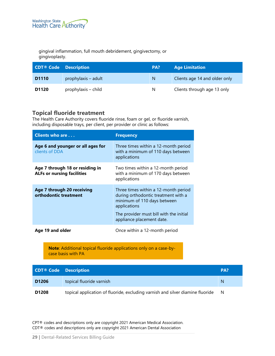gingival inflammation, full mouth debridement, gingivectomy, or gingivoplasty.

| <b>CDT<sup>®</sup></b> Code Description |                     | PA? | <b>Age Limitation</b>         |
|-----------------------------------------|---------------------|-----|-------------------------------|
| D <sub>1110</sub>                       | prophylaxis – adult | N   | Clients age 14 and older only |
| D <sub>1120</sub>                       | prophylaxis – child | N   | Clients through age 13 only   |

# <span id="page-28-0"></span>**Topical fluoride treatment**

The Health Care Authority covers fluoride rinse, foam or gel, or fluoride varnish, including disposable trays, per client, per provider or clinic as follows:

| Clients who are                                                      | <b>Frequency</b>                                                                                                                                                                                   |
|----------------------------------------------------------------------|----------------------------------------------------------------------------------------------------------------------------------------------------------------------------------------------------|
| Age 6 and younger or all ages for<br>clients of DDA                  | Three times within a 12-month period<br>with a minimum of 110 days between<br>applications                                                                                                         |
| Age 7 through 18 or residing in<br><b>ALFs or nursing facilities</b> | Two times within a 12-month period<br>with a minimum of 170 days between<br>applications                                                                                                           |
| Age 7 through 20 receiving<br>orthodontic treatment                  | Three times within a 12-month period<br>during orthodontic treatment with a<br>minimum of 110 days between<br>applications<br>The provider must bill with the initial<br>appliance placement date. |
|                                                                      |                                                                                                                                                                                                    |
| Age 19 and older                                                     | Once within a 12-month period                                                                                                                                                                      |

**Note**: Additional topical fluoride applications only on a case-bycase basis with PA

| <b>CDT<sup>®</sup></b> Code Description |                                                                                | PA? |
|-----------------------------------------|--------------------------------------------------------------------------------|-----|
| D <sub>1206</sub>                       | topical fluoride varnish                                                       | N   |
| D <sub>1208</sub>                       | topical application of fluoride, excluding varnish and silver diamine fluoride | N   |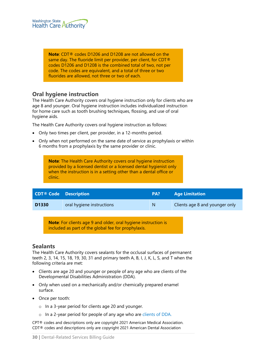

**Note**: CDT® codes D1206 and D1208 are not allowed on the same day. The fluoride limit per provider, per client, for CDT® codes D1206 and D1208 is the combined total of two, not per code. The codes are equivalent, and a total of three or two fluorides are allowed, not three or two of each.

#### <span id="page-29-0"></span>**Oral hygiene instruction**

The Health Care Authority covers oral hygiene instruction only for clients who are age 8 and younger. Oral hygiene instruction includes individualized instruction for home care such as tooth brushing techniques, flossing, and use of oral hygiene aids.

The Health Care Authority covers oral hygiene instruction as follows:

- Only two times per client, per provider, in a 12-months period.
- Only when not performed on the same date of service as prophylaxis or within 6 months from a prophylaxis by the same provider or clinic.

**Note**: The Health Care Authority covers oral hygiene instruction provided by a licensed dentist or a licensed dental hygienist only when the instruction is in a setting other than a dental office or clinic.

| <b>CDT<sup>®</sup></b> Code Description |                           | PA? | <b>Age Limitation</b>          |
|-----------------------------------------|---------------------------|-----|--------------------------------|
| D <sub>1330</sub>                       | oral hygiene instructions | N   | Clients age 8 and younger only |

**Note**: For clients age 9 and older, oral hygiene instruction is included as part of the global fee for prophylaxis.

#### <span id="page-29-1"></span>**Sealants**

The Health Care Authority covers sealants for the occlusal surfaces of permanent teeth 2, 3, 14, 15, 18, 19, 30, 31 and primary teeth A, B, I, J, K, L, S, and T when the following criteria are met:

- Clients are age 20 and younger or people of any age who are clients of the Developmental Disabilities Administration (DDA).
- Only when used on a mechanically and/or chemically prepared enamel surface.
- Once per tooth:
	- o In a 3-year period for clients age 20 and younger.
	- o In a 2-year period for people of any age who are [clients of DDA.](#page-79-0)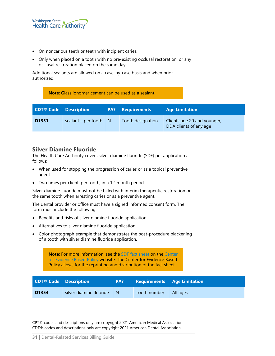

- On noncarious teeth or teeth with incipient caries.
- Only when placed on a tooth with no pre-existing occlusal restoration, or any occlusal restoration placed on the same day.

Additional sealants are allowed on a case-by-case basis and when prior authorized.

**Note**: Glass ionomer cement can be used as a sealant.

| <b>CDT<sup>®</sup></b> Code Description |                       |   | <b>PA?</b> Requirements | <b>Age Limitation</b>                                 |
|-----------------------------------------|-----------------------|---|-------------------------|-------------------------------------------------------|
| D <sub>1351</sub>                       | sealant $-$ per tooth | N | Tooth designation       | Clients age 20 and younger;<br>DDA clients of any age |

#### <span id="page-30-0"></span>**Silver Diamine Fluoride**

The Health Care Authority covers silver diamine fluoride (SDF) per application as follows:

- When used for stopping the progression of caries or as a topical preventive agent
- Two times per client, per tooth, in a 12-month period

Silver diamine fluoride must not be billed with interim therapeutic restoration on the same tooth when arresting caries or as a preventive agent.

The dental provider or office must have a signed informed consent form. The form must include the following:

- Benefits and risks of silver diamine fluoride application.
- Alternatives to silver diamine fluoride application.
- Color photograph example that demonstrates the post-procedure blackening of a tooth with silver diamine fluoride application.

**Note**: For more information, see the [SDF fact sheet](http://centerforevidencebasedpolicy.org/wp-content/uploads/2018/06/SDF-Patient-Fact-Sheet-FINAL.pdf) on the [Center](http://centerforevidencebasedpolicy.org/)  [for Evidence Based Policy](http://centerforevidencebasedpolicy.org/) website. The Center for Evidence Based Policy allows for the reprinting and distribution of the fact sheet.

| <b>CDT<sup>®</sup></b> Code Description |                         | PA? | <b>Requirements Age Limitation</b> |  |
|-----------------------------------------|-------------------------|-----|------------------------------------|--|
| D <sub>1354</sub>                       | silver diamine fluoride | - N | Tooth number   All ages            |  |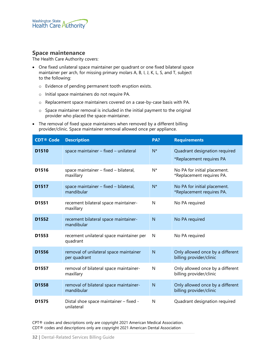#### <span id="page-31-0"></span>**Space maintenance**

The Health Care Authority covers:

- One fixed unilateral space maintainer per quadrant or one fixed bilateral space maintainer per arch, for missing primary molars A, B, I, J, K, L, S, and T, subject to the following:
	- o Evidence of pending permanent tooth eruption exists.
	- o Initial space maintainers do not require PA.
	- o Replacement space maintainers covered on a case-by-case basis with PA.
	- o Space maintainer removal is included in the initial payment to the original provider who placed the space-maintainer.
- The removal of fixed space maintainers when removed by a different billing provider/clinic. Space maintainer removal allowed once per appliance.

| <b>CDT® Code</b>  | <b>Description</b>                                     | PA?            | <b>Requirements</b>                                         |
|-------------------|--------------------------------------------------------|----------------|-------------------------------------------------------------|
| D <sub>1510</sub> | space maintainer - fixed - unilateral                  | $N^*$          | Quadrant designation required<br>*Replacement requires PA   |
| D1516             | space maintainer - fixed - bilateral,<br>maxillary     | N*             | No PA for initial placement.<br>*Replacement requires PA.   |
| D <sub>1517</sub> | space maintainer - fixed - bilateral,<br>mandibular    | $N^*$          | No PA for initial placement.<br>*Replacement requires PA.   |
| D <sub>1551</sub> | recement bilateral space maintainer-<br>maxillary      | N              | No PA required                                              |
| D <sub>1552</sub> | recement bilateral space maintainer-<br>mandibular     | $\overline{N}$ | No PA required                                              |
| D <sub>1553</sub> | recement unilateral space maintainer per<br>quadrant   | N              | No PA required                                              |
| D <sub>1556</sub> | removal of unilateral space maintainer<br>per quadrant | $\mathsf{N}$   | Only allowed once by a different<br>billing provider/clinic |
| D1557             | removal of bilateral space maintainer-<br>maxillary    | N              | Only allowed once by a different<br>billing provider/clinic |
| D <sub>1558</sub> | removal of bilateral space maintainer-<br>mandibular   | N              | Only allowed once by a different<br>billing provider/clinic |
| D <sub>1575</sub> | Distal shoe space maintainer - fixed -<br>unilateral   | N              | Quadrant designation required                               |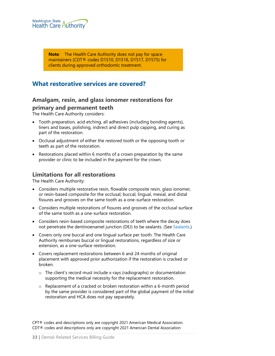

**Note**: The Health Care Authority does not pay for space maintainers (CDT® codes D1510, D1516, D1517, D1575) for clients during approved orthodontic treatment.

# <span id="page-32-2"></span><span id="page-32-1"></span>**What restorative services are covered?**

# **Amalgam, resin, and glass ionomer restorations for primary and permanent teeth**

The Health Care Authority considers:

- Tooth preparation, acid etching, all adhesives (including bonding agents), liners and bases, polishing, indirect and direct pulp capping, and curing as part of the restoration.
- Occlusal adjustment of either the restored tooth or the opposing tooth or teeth as part of the restoration.
- Restorations placed within 6 months of a crown preparation by the same provider or clinic to be included in the payment for the crown.

#### <span id="page-32-0"></span>**Limitations for all restorations**

The Health Care Authority:

- Considers multiple restorative resin, flowable composite resin, glass ionomer, or resin-based composite for the occlusal, buccal, lingual, mesial, and distal fissures and grooves on the same tooth as a one-surface restoration.
- Considers multiple restorations of fissures and grooves of the occlusal surface of the same tooth as a one-surface restoration.
- Considers resin-based composite restorations of teeth where the decay does not penetrate the dentinoenamel junction (DEJ) to be sealants. (See Sealants.)
- Covers only one buccal and one lingual surface per tooth. The Health Care Authority reimburses buccal or lingual restorations, regardless of size or extension, as a one-surface restoration.
- Covers replacement restorations between 6 and 24 months of original placement with approved prior authorization if the restoration is cracked or broken.
	- o The client's record must include x-rays (radiographs) or documentation supporting the medical necessity for the replacement restoration.
	- $\circ$  Replacement of a cracked or broken restoration within a 6-month period by the same provider is considered part of the global payment of the initial restoration and HCA does not pay separately.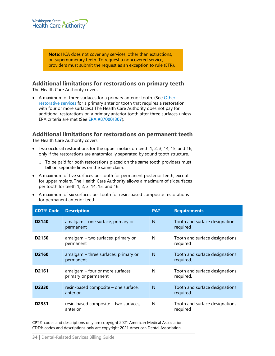

**Note**: HCA does not cover any services, other than extractions, on supernumerary teeth. To request a noncovered service, providers must submit the request as an exception to rule (ETR).

#### <span id="page-33-0"></span>**Additional limitations for restorations on primary teeth**

The Health Care Authority covers:

• A maximum of three surfaces for a primary anterior tooth. (See Other [restorative services](#page-80-0) for a primary anterior tooth that requires a restoration with four or more surfaces.) The Health Care Authority does not pay for additional restorations on a primary anterior tooth after three surfaces unless EPA criteria are met (See **[EPA #870001307](#page-90-1)**).

#### <span id="page-33-1"></span>**Additional limitations for restorations on permanent teeth**

The Health Care Authority covers:

- Two occlusal restorations for the upper molars on teeth 1, 2, 3, 14, 15, and 16, only if the restorations are anatomically separated by sound tooth structure.
	- o To be paid for both restorations placed on the same tooth providers must bill on separate lines on the same claim.
- A maximum of five surfaces per tooth for permanent posterior teeth, except for upper molars. The Health Care Authority allows a maximum of six surfaces per tooth for teeth 1, 2, 3, 14, 15, and 16.
- A maximum of six surfaces per tooth for resin-based composite restorations for permanent anterior teeth.

| <b>CDT® Code</b>  | <b>Description</b>                                       | PA? | <b>Requirements</b>                         |
|-------------------|----------------------------------------------------------|-----|---------------------------------------------|
| D <sub>2140</sub> | amalgam – one surface, primary or<br>permanent           | N   | Tooth and surface designations<br>required  |
| D <sub>2150</sub> | amalgam - two surfaces, primary or<br>permanent          | N   | Tooth and surface designations<br>required  |
| D <sub>2160</sub> | amalgam – three surfaces, primary or<br>permanent        | N   | Tooth and surface designations<br>required. |
| D <sub>2161</sub> | amalgam - four or more surfaces,<br>primary or permanent | N   | Tooth and surface designations<br>required. |
| D <sub>2330</sub> | resin-based composite – one surface,<br>anterior         | N   | Tooth and surface designations<br>required  |
| D <sub>2331</sub> | resin-based composite – two surfaces,<br>anterior        | N   | Tooth and surface designations<br>reguired  |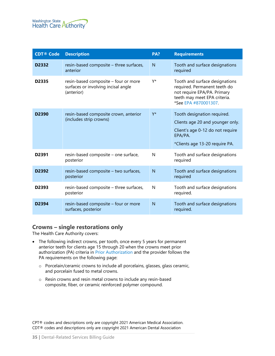

| <b>CDT® Code</b>  | <b>Description</b>                                                                        | PA?            | <b>Requirements</b>                                                                                                                                   |
|-------------------|-------------------------------------------------------------------------------------------|----------------|-------------------------------------------------------------------------------------------------------------------------------------------------------|
| D2332             | resin-based composite - three surfaces,<br>anterior                                       | N              | Tooth and surface designations<br>required                                                                                                            |
| D <sub>2335</sub> | resin-based composite - four or more<br>surfaces or involving incisal angle<br>(anterior) | Y*             | Tooth and surface designations<br>required. Permanent teeth do<br>not require EPA/PA. Primary<br>teeth may meet EPA criteria.<br>*See EPA #870001307. |
| D <sub>2390</sub> | resin-based composite crown, anterior<br>(includes strip crowns)                          | Y*             | Tooth designation required.<br>Clients age 20 and younger only.<br>Client's age 0-12 do not require<br>EPA/PA.<br>*Clients age 13-20 require PA.      |
| D <sub>2391</sub> | resin-based composite - one surface,<br>posterior                                         | N              | Tooth and surface designations<br>required                                                                                                            |
| D2392             | resin-based composite - two surfaces,<br>posterior                                        | N              | Tooth and surface designations<br>required                                                                                                            |
| D2393             | resin-based composite - three surfaces,<br>posterior                                      | N              | Tooth and surface designations<br>required.                                                                                                           |
| D2394             | resin-based composite - four or more<br>surfaces, posterior                               | $\overline{N}$ | Tooth and surface designations<br>required.                                                                                                           |

#### <span id="page-34-0"></span>**Crowns – single restorations only**

The Health Care Authority covers:

- The following indirect crowns, per tooth, once every 5 years for permanent anterior teeth for clients age 15 through 20 when the crowns meet prior authorization (PA) criteria in [Prior Authorization](#page-86-2) and the provider follows the PA requirements on the following page:
	- o Porcelain/ceramic crowns to include all porcelains, glasses, glass ceramic, and porcelain fused to metal crowns.
	- o Resin crowns and resin metal crowns to include any resin-based composite, fiber, or ceramic reinforced polymer compound.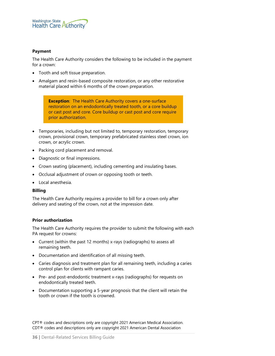

#### **Payment**

The Health Care Authority considers the following to be included in the payment for a crown:

- Tooth and soft tissue preparation.
- Amalgam and resin-based composite restoration, or any other restorative material placed within 6 months of the crown preparation.

**Exception**: The Health Care Authority covers a one-surface restoration on an endodontically treated tooth, or a core buildup or cast post and core. Core buildup or cast post and core require prior authorization.

- Temporaries, including but not limited to, temporary restoration, temporary crown, provisional crown, temporary prefabricated stainless steel crown, ion crown, or acrylic crown.
- Packing cord placement and removal.
- Diagnostic or final impressions.
- Crown seating (placement), including cementing and insulating bases.
- Occlusal adjustment of crown or opposing tooth or teeth.
- Local anesthesia.

#### **Billing**

The Health Care Authority requires a provider to bill for a crown only after delivery and seating of the crown, not at the impression date.

#### **Prior authorization**

The Health Care Authority requires the provider to submit the following with each PA request for crowns:

- Current (within the past 12 months) x-rays (radiographs) to assess all remaining teeth.
- Documentation and identification of all missing teeth.
- Caries diagnosis and treatment plan for all remaining teeth, including a caries control plan for clients with rampant caries.
- Pre- and post-endodontic treatment x-rays (radiographs) for requests on endodontically treated teeth.
- Documentation supporting a 5-year prognosis that the client will retain the tooth or crown if the tooth is crowned.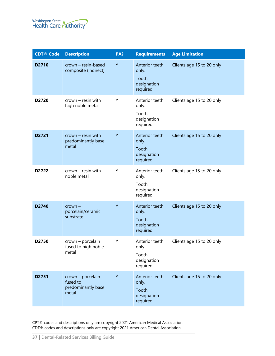

| <b>CDT®</b> Code | <b>Description</b>                                           | PA? | <b>Requirements</b>                                         | <b>Age Limitation</b>     |
|------------------|--------------------------------------------------------------|-----|-------------------------------------------------------------|---------------------------|
| D2710            | crown - resin-based<br>composite (indirect)                  | Y   | Anterior teeth<br>only.<br>Tooth<br>designation<br>required | Clients age 15 to 20 only |
| D2720            | $crown -$ resin with<br>high noble metal                     | Y   | Anterior teeth<br>only.<br>Tooth<br>designation<br>required | Clients age 15 to 20 only |
| D2721            | $crown - resin with$<br>predominantly base<br>metal          | Y   | Anterior teeth<br>only.<br>Tooth<br>designation<br>required | Clients age 15 to 20 only |
| D2722            | $crown - resin with$<br>noble metal                          | Υ   | Anterior teeth<br>only.<br>Tooth<br>designation<br>required | Clients age 15 to 20 only |
| D2740            | $crown -$<br>porcelain/ceramic<br>substrate                  | Y   | Anterior teeth<br>only.<br>Tooth<br>designation<br>required | Clients age 15 to 20 only |
| D2750            | crown - porcelain<br>fused to high noble<br>metal            | Υ   | Anterior teeth<br>only.<br>Tooth<br>designation<br>required | Clients age 15 to 20 only |
| D2751            | crown - porcelain<br>fused to<br>predominantly base<br>metal | Y   | Anterior teeth<br>only.<br>Tooth<br>designation<br>required | Clients age 15 to 20 only |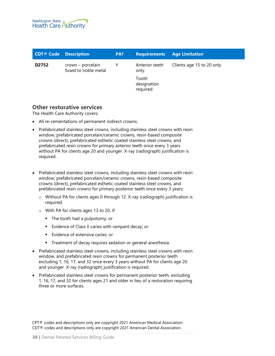

| <b>CDT<sup>®</sup> Code</b> Description |                                           | PA? | <b>Requirements Age Limitation</b>                          |                           |
|-----------------------------------------|-------------------------------------------|-----|-------------------------------------------------------------|---------------------------|
| D2752                                   | crown – porcelain<br>fused to noble metal |     | Anterior teeth<br>only.<br>Tooth<br>designation<br>required | Clients age 15 to 20 only |
|                                         |                                           |     |                                                             |                           |

### **Other restorative services**

The Health Care Authority covers:

- All re-cementations of permanent indirect crowns.
- Prefabricated stainless steel crowns, including stainless steel crowns with resin window, prefabricated porcelain/ceramic crowns, resin-based composite crowns (direct), prefabricated esthetic coated stainless steel crowns, and prefabricated resin crowns for primary anterior teeth once every 3 years without PA for clients age 20 and younger. X-ray (radiograph) justification is required.
- Prefabricated stainless steel crowns, including stainless steel crowns with resin window, prefabricated porcelain/ceramic crowns, resin-based composite crowns (direct), prefabricated esthetic coated stainless steel crowns, and prefabricated resin crowns for primary posterior teeth once every 3 years:
	- o Without PA for clients ages 0 through 12. X-ray (radiograph) justification is required.
	- o With PA for clients ages 13 to 20, if:
		- The tooth had a pulpotomy; or
		- **Evidence of Class II caries with rampant decay; or**
		- **Evidence of extensive caries; or**
		- **Treatment of decay requires sedation or general anesthesia.**
- Prefabricated stainless steel crowns, including stainless steel crowns with resin window, and prefabricated resin crowns for permanent posterior teeth excluding 1, 16, 17, and 32 once every 3 years without PA for clients age 20 and younger. X-ray (radiograph) justification is required.
- Prefabricated stainless steel crowns for permanent posterior teeth, excluding 1, 16, 17, and 32 for clients ages 21 and older in lieu of a restoration requiring three or more surfaces.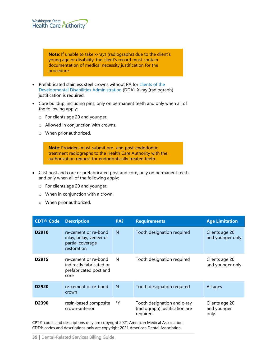

**Note**: If unable to take x-rays (radiographs) due to the client's young age or disability, the client's record must contain documentation of medical necessity justification for the procedure.

- Prefabricated stainless steel crowns without PA fo[r clients of the](#page-79-0)  [Developmental Disabilities Administration](#page-79-0) (DDA). X-ray (radiograph) justification is required.
- Core buildup, including pins, only on permanent teeth and only when all of the following apply:
	- o For clients age 20 and younger.
	- o Allowed in conjunction with crowns.
	- o When prior authorized.

**Note**: Providers must submit pre- and post-endodontic treatment radiographs to the Health Care Authority with the authorization request for endodontically treated teeth.

- Cast post and core or prefabricated post and core, only on permanent teeth and only when all of the following apply:
	- o For clients age 20 and younger.
	- o When in conjunction with a crown.
	- o When prior authorized.

| <b>CDT® Code</b>  | <b>Description</b>                                                                 | PA? | <b>Requirements</b>                                                       | <b>Age Limitation</b>                  |
|-------------------|------------------------------------------------------------------------------------|-----|---------------------------------------------------------------------------|----------------------------------------|
| D <sub>2910</sub> | re-cement or re-bond<br>inlay, onlay, veneer or<br>partial coverage<br>restoration | N   | Tooth designation required                                                | Clients age 20<br>and younger only     |
| D <sub>2915</sub> | re-cement or re-bond<br>indirectly fabricated or<br>prefabricated post and<br>core | N   | Tooth designation required                                                | Clients age 20<br>and younger only     |
| D <sub>2920</sub> | re-cement or re-bond<br>crown                                                      | N   | Tooth designation required                                                | All ages                               |
| D <sub>2390</sub> | resin-based composite<br>crown-anterior                                            | *Y  | Tooth designation and x-ray<br>(radiograph) justification are<br>required | Clients age 20<br>and younger<br>only. |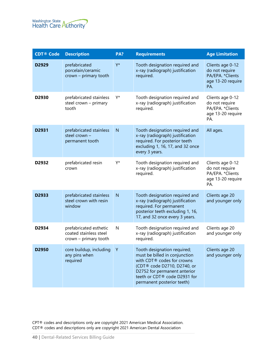

| <b>CDT® Code</b>  | <b>Description</b>                                                        | PA? | <b>Requirements</b>                                                                                                                                                                                                     | <b>Age Limitation</b>                                                               |
|-------------------|---------------------------------------------------------------------------|-----|-------------------------------------------------------------------------------------------------------------------------------------------------------------------------------------------------------------------------|-------------------------------------------------------------------------------------|
| D2929             | prefabricated<br>porcelain/ceramic<br>crown - primary tooth               | Y*  | Tooth designation required and<br>x-ray (radiograph) justification<br>required.                                                                                                                                         | Clients age 0-12<br>do not require<br>PA/EPA. * Clients<br>age 13-20 require<br>PA. |
| D2930             | prefabricated stainless<br>steel crown - primary<br>tooth                 | Y*  | Tooth designation required and<br>x-ray (radiograph) justification<br>required.                                                                                                                                         | Clients age 0-12<br>do not require<br>PA/EPA. *Clients<br>age 13-20 require<br>PA.  |
| D2931             | prefabricated stainless<br>steel crown -<br>permanent tooth               | N   | Tooth designation required and<br>x-ray (radiograph) justification<br>required. For posterior teeth<br>excluding 1, 16, 17, and 32 once<br>every 3 years.                                                               | All ages.                                                                           |
| D2932             | prefabricated resin<br>crown                                              | Y*  | Tooth designation required and<br>x-ray (radiograph) justification<br>required.                                                                                                                                         | Clients age 0-12<br>do not require<br>PA/EPA. * Clients<br>age 13-20 require<br>PA. |
| D2933             | prefabricated stainless<br>steel crown with resin<br>window               | N   | Tooth designation required and<br>x-ray (radiograph) justification<br>required. For permanent<br>posterior teeth excluding 1, 16,<br>17, and 32 once every 3 years.                                                     | Clients age 20<br>and younger only                                                  |
| D2934             | prefabricated esthetic<br>coated stainless steel<br>crown - primary tooth | N   | Tooth designation required and<br>x-ray (radiograph) justification<br>required.                                                                                                                                         | Clients age 20<br>and younger only                                                  |
| D <sub>2950</sub> | core buildup, including<br>any pins when<br>required                      | Υ   | Tooth designation required;<br>must be billed in conjunction<br>with CDT® codes for crowns<br>(CDT® code D2710, D2740, or<br>D2752 for permanent anterior<br>teeth or CDT® code D2931 for<br>permanent posterior teeth) | Clients age 20<br>and younger only                                                  |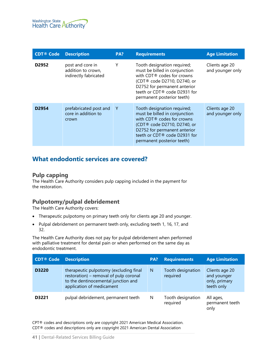

| <b>CDT® Code</b>  | <b>Description</b>                                              | PA? | <b>Requirements</b>                                                                                                                                                                                                     | <b>Age Limitation</b>              |
|-------------------|-----------------------------------------------------------------|-----|-------------------------------------------------------------------------------------------------------------------------------------------------------------------------------------------------------------------------|------------------------------------|
| D <sub>2952</sub> | post and core in<br>addition to crown,<br>indirectly fabricated | Υ   | Tooth designation required;<br>must be billed in conjunction<br>with CDT® codes for crowns<br>(CDT® code D2710, D2740, or<br>D2752 for permanent anterior<br>teeth or CDT® code D2931 for<br>permanent posterior teeth) | Clients age 20<br>and younger only |
| D <sub>2954</sub> | prefabricated post and<br>core in addition to<br>crown          | -Y  | Tooth designation required;<br>must be billed in conjunction<br>with CDT® codes for crowns<br>(CDT® code D2710, D2740, or<br>D2752 for permanent anterior<br>teeth or CDT® code D2931 for<br>permanent posterior teeth) | Clients age 20<br>and younger only |

# **What endodontic services are covered?**

#### **Pulp capping**

The Health Care Authority considers pulp capping included in the payment for the restoration.

# **Pulpotomy/pulpal debridement**

The Health Care Authority covers:

- Therapeutic pulpotomy on primary teeth only for clients age 20 and younger.
- Pulpal debridement on permanent teeth only, excluding teeth 1, 16, 17, and 32.

The Health Care Authority does not pay for pulpal debridement when performed with palliative treatment for dental pain or when performed on the same day as endodontic treatment.

| <b>CDT® Code</b> | <b>Description</b>                                                                                                                                   | PA? | <b>Requirements</b>           | <b>Age Limitation</b>                                        |
|------------------|------------------------------------------------------------------------------------------------------------------------------------------------------|-----|-------------------------------|--------------------------------------------------------------|
| D3220            | therapeutic pulpotomy (excluding final<br>restoration) - removal of pulp coronal<br>to the dentinocemental junction and<br>application of medicament | N   | Tooth designation<br>required | Clients age 20<br>and younger<br>only, primary<br>teeth only |
| D3221            | pulpal debridement, permanent teeth                                                                                                                  | N   | Tooth designation<br>required | All ages,<br>permanent teeth<br>only                         |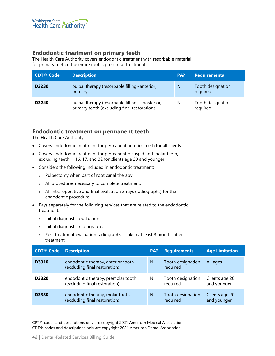

### **Endodontic treatment on primary teeth**

The Health Care Authority covers endodontic treatment with resorbable material for primary teeth if the entire root is present at treatment.

| <b>CDT® Code</b> | <b>Description</b>                                                                               | PA? | <b>Requirements</b>           |
|------------------|--------------------------------------------------------------------------------------------------|-----|-------------------------------|
| D3230            | pulpal therapy (resorbable filling)-anterior,<br>primary                                         | N   | Tooth designation<br>required |
| D3240            | pulpal therapy (resorbable filling) – posterior,<br>primary tooth (excluding final restorations) | N   | Tooth designation<br>required |

# **Endodontic treatment on permanent teeth**

The Health Care Authority:

- Covers endodontic treatment for permanent anterior teeth for all clients.
- Covers endodontic treatment for permanent bicuspid and molar teeth, excluding teeth 1, 16, 17, and 32 for clients age 20 and younger.
- Considers the following included in endodontic treatment:
	- o Pulpectomy when part of root canal therapy.
	- o All procedures necessary to complete treatment.
	- o All intra-operative and final evaluation x-rays (radiographs) for the endodontic procedure.
- Pays separately for the following services that are related to the endodontic treatment:
	- o Initial diagnostic evaluation.
	- o Initial diagnostic radiographs.
	- o Post treatment evaluation radiographs if taken at least 3 months after treatment.

| <b>CDT® Code</b> | <b>Description</b>                                                  | PA? | <b>Requirements</b>           | <b>Age Limitation</b>         |
|------------------|---------------------------------------------------------------------|-----|-------------------------------|-------------------------------|
| D3310            | endodontic therapy, anterior tooth<br>(excluding final restoration) | N   | Tooth designation<br>required | All ages                      |
| D3320            | endodontic therapy, premolar tooth<br>(excluding final restoration) | N   | Tooth designation<br>required | Clients age 20<br>and younger |
| <b>D3330</b>     | endodontic therapy, molar tooth<br>(excluding final restoration)    | N   | Tooth designation<br>required | Clients age 20<br>and younger |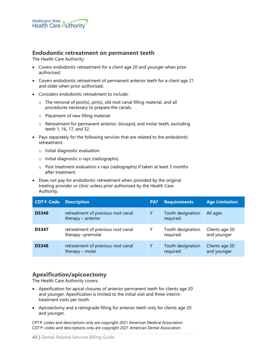

### **Endodontic retreatment on permanent teeth**

The Health Care Authority:

- Covers endodontic retreatment for a client age 20 and younger when prior authorized.
- Covers endodontic retreatment of permanent anterior teeth for a client age 21 and older when prior authorized.
- Considers endodontic retreatment to include:
	- o The removal of post(s), pin(s), old root canal filling material, and all procedures necessary to prepare the canals.
	- o Placement of new filling material.
	- o Retreatment for permanent anterior, bicuspid, and molar teeth, excluding teeth 1, 16, 17, and 32.
- Pays separately for the following services that are related to the endodontic retreatment:
	- o Initial diagnostic evaluation.
	- o Initial diagnostic x-rays (radiographs).
	- o Post treatment evaluation x-rays (radiographs) if taken at least 3 months after treatment.
- Does not pay for endodontic retreatment when provided by the original treating provider or clinic unless prior authorized by the Health Care Authority.

| <b>CDT® Code</b> | <b>Description</b>                                       | PA? | <b>Requirements</b>           | <b>Age Limitation</b>         |
|------------------|----------------------------------------------------------|-----|-------------------------------|-------------------------------|
| D3346            | retreatment of previous root canal<br>therapy - anterior | Υ   | Tooth designation<br>required | All ages                      |
| D3347            | retreatment of previous root canal<br>therapy -premolar  |     | Tooth designation<br>required | Clients age 20<br>and younger |
| D3348            | retreatment of previous root canal<br>therapy - molar    | Υ   | Tooth designation<br>required | Clients age 20<br>and younger |

# **Apexification/apicoectomy**

The Health Care Authority covers:

- Apexification for apical closures of anterior permanent teeth for clients age 20 and younger. Apexification is limited to the initial visit and three interim treatment visits per tooth.
- Apicoectomy and a retrograde filling for anterior teeth only for clients age 20 and younger.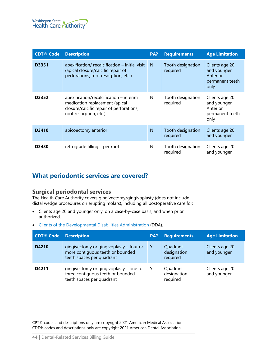

| <b>CDT® Code</b> | <b>Description</b>                                                                                                                                | PA? | <b>Requirements</b>           | <b>Age Limitation</b>                                                |
|------------------|---------------------------------------------------------------------------------------------------------------------------------------------------|-----|-------------------------------|----------------------------------------------------------------------|
| D3351            | $apexification/ recalcification - initial visit$<br>(apical closure/calcific repair of<br>perforations, root resorption, etc.)                    | N   | Tooth designation<br>required | Clients age 20<br>and younger<br>Anterior<br>permanent teeth<br>only |
| D3352            | $apexification/recalcification - interim$<br>medication replacement (apical<br>closure/calcific repair of perforations,<br>root resorption, etc.) | N   | Tooth designation<br>required | Clients age 20<br>and younger<br>Anterior<br>permanent teeth<br>only |
| D3410            | apicoectomy anterior                                                                                                                              | N   | Tooth designation<br>required | Clients age 20<br>and younger                                        |
| D3430            | retrograde filling – per root                                                                                                                     | N   | Tooth designation<br>required | Clients age 20<br>and younger                                        |

# **What periodontic services are covered?**

### **Surgical periodontal services**

The Health Care Authority covers gingivectomy/gingivoplasty (does not include distal wedge procedures on erupting molars), including all postoperative care for:

- Clients age 20 and younger only, on a case-by-case basis, and when prior authorized.
- [Clients of the Developmental Disabilities Administration](#page-79-0) (DDA).

| <b>CDT® Code</b> | <b>Description</b>                                                                                       | PA? | <b>Requirements</b>                 | <b>Age Limitation</b>         |
|------------------|----------------------------------------------------------------------------------------------------------|-----|-------------------------------------|-------------------------------|
| D4210            | gingivectomy or gingivoplasty – four or<br>more contiguous teeth or bounded<br>teeth spaces per quadrant | Υ   | Quadrant<br>designation<br>required | Clients age 20<br>and younger |
| D4211            | gingivectomy or gingivoplasty – one to<br>three contiguous teeth or bounded<br>teeth spaces per quadrant | Y   | Quadrant<br>designation<br>required | Clients age 20<br>and younger |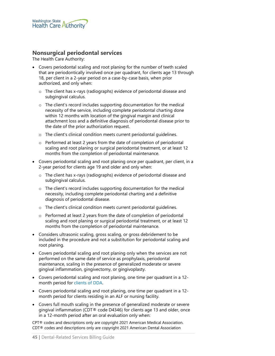

## **Nonsurgical periodontal services**

The Health Care Authority:

- Covers periodontal scaling and root planing for the number of teeth scaled that are periodontically involved once per quadrant, for clients age 13 through 18, per client in a 2-year period on a case-by-case basis, when prior authorized, and only when:
	- o The client has x-rays (radiographs) evidence of periodontal disease and subgingival calculus.
	- o The client's record includes supporting documentation for the medical necessity of the service, including complete periodontal charting done within 12 months with location of the gingival margin and clinical attachment loss and a definitive diagnosis of periodontal disease prior to the date of the prior authorization request.
	- o The client's clinical condition meets current periodontal guidelines.
	- o Performed at least 2 years from the date of completion of periodontal scaling and root planing or surgical periodontal treatment, or at least 12 months from the completion of periodontal maintenance.
- Covers periodontal scaling and root planing once per quadrant, per client, in a 2-year period for clients age 19 and older and only when:
	- o The client has x-rays (radiographs) evidence of periodontal disease and subgingival calculus.
	- $\circ$  The client's record includes supporting documentation for the medical necessity, including complete periodontal charting and a definitive diagnosis of periodontal disease.
	- o The client's clinical condition meets current periodontal guidelines.
	- o Performed at least 2 years from the date of completion of periodontal scaling and root planing or surgical periodontal treatment, or at least 12 months from the completion of periodontal maintenance.
- Considers ultrasonic scaling, gross scaling, or gross debridement to be included in the procedure and not a substitution for periodontal scaling and root planing.
- Covers periodontal scaling and root planing only when the services are not performed on the same date of service as prophylaxis, periodontal maintenance, scaling in the presence of generalized moderate or severe gingival inflammation, gingivectomy, or gingivoplasty.
- Covers periodontal scaling and root planing, one time per quadrant in a 12 month period for [clients of DDA.](#page-79-0)
- Covers periodontal scaling and root planing, one time per quadrant in a 12 month period for clients residing in an ALF or nursing facility.
- Covers full mouth scaling in the presence of generalized moderate or severe gingival inflammation (CDT® code D4346) for clients age 13 and older, once in a 12-month period after an oral evaluation only when: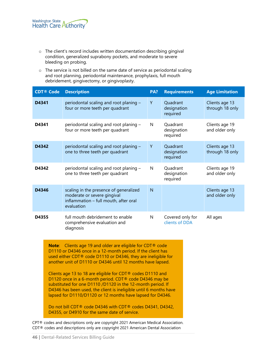- o The client's record includes written documentation describing gingival condition, generalized suprabony pockets, and moderate to severe bleeding on probing.
- o The service is not billed on the same date of service as periodontal scaling and root planning, periodontal maintenance, prophylaxis, full mouth debridement, gingivectomy, or gingivoplasty.

| <b>CDT® Code</b>                                                                                                                                                                                                                                                                                                                                                                                                                                                                                                                                                                                                  | <b>Description</b>                                                                                                           | PA? | <b>Requirements</b>                 | <b>Age Limitation</b>             |  |
|-------------------------------------------------------------------------------------------------------------------------------------------------------------------------------------------------------------------------------------------------------------------------------------------------------------------------------------------------------------------------------------------------------------------------------------------------------------------------------------------------------------------------------------------------------------------------------------------------------------------|------------------------------------------------------------------------------------------------------------------------------|-----|-------------------------------------|-----------------------------------|--|
| D4341                                                                                                                                                                                                                                                                                                                                                                                                                                                                                                                                                                                                             | periodontal scaling and root planing -<br>four or more teeth per quadrant                                                    | Y   | Quadrant<br>designation<br>required | Clients age 13<br>through 18 only |  |
| D4341                                                                                                                                                                                                                                                                                                                                                                                                                                                                                                                                                                                                             | periodontal scaling and root planing -<br>four or more teeth per quadrant                                                    | N   | Quadrant<br>designation<br>required | Clients age 19<br>and older only  |  |
| D4342                                                                                                                                                                                                                                                                                                                                                                                                                                                                                                                                                                                                             | periodontal scaling and root planing -<br>one to three teeth per quadrant                                                    | Y   | Quadrant<br>designation<br>required | Clients age 13<br>through 18 only |  |
| D4342                                                                                                                                                                                                                                                                                                                                                                                                                                                                                                                                                                                                             | periodontal scaling and root planing -<br>one to three teeth per quadrant                                                    | N   | Quadrant<br>designation<br>required | Clients age 19<br>and older only  |  |
| D4346                                                                                                                                                                                                                                                                                                                                                                                                                                                                                                                                                                                                             | scaling in the presence of generalized<br>moderate or severe gingival<br>inflammation - full mouth, after oral<br>evaluation | N   |                                     | Clients age 13<br>and older only  |  |
| D4355                                                                                                                                                                                                                                                                                                                                                                                                                                                                                                                                                                                                             | full mouth debridement to enable<br>comprehensive evaluation and<br>diagnosis                                                | N   | Covered only for<br>clients of DDA  | All ages                          |  |
| <b>Note:</b> Clients age 19 and older are eligible for CDT <sup>®</sup> code<br>D1110 or D4346 once in a 12-month period. If the client has<br>used either CDT® code D1110 or D4346, they are ineligible for<br>another unit of D1110 or D4346 until 12 months have lapsed.<br>Clients age 13 to 18 are eligible for CDT® codes D1110 and<br>D1120 once in a 6-month period. CDT <sup>®</sup> code D4346 may be<br>substituted for one D1110 /D1120 in the 12-month period. If<br>D4346 has been used, the client is ineligible until 6 months have<br>lapsed for D1110/D1120 or 12 months have lapsed for D4346. |                                                                                                                              |     |                                     |                                   |  |

Do not bill CDT® code D4346 with CDT® codes D4341, D4342, D4355, or D4910 for the same date of service.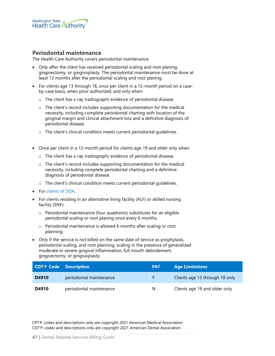

#### **Periodontal maintenance**

The Health Care Authority covers periodontal maintenance:

- Only after the client has received periodontal scaling and root planing, gingivectomy, or gingivoplasty. The periodontal maintenance must be done at least 12 months after the periodontal scaling and root planing.
- For clients age 13 through 18, once per client in a 12-month period on a caseby-case basis, when prior authorized, and only when:
	- o The client has x-ray (radiograph) evidence of periodontal disease.
	- $\circ$  The client's record includes supporting documentation for the medical necessity, including complete periodontal charting with location of the gingival margin and clinical attachment loss and a definitive diagnosis of periodontal disease.
	- o The client's clinical condition meets current periodontal guidelines.
- Once per client in a 12-month period for clients age 19 and older only when:
	- o The client has x-ray (radiograph) evidence of periodontal disease.
	- o The client's record includes supporting documentation for the medical necessity, including complete periodontal charting and a definitive diagnosis of periodontal disease.
	- o The client's clinical condition meets current periodontal guidelines.
- For [clients of DDA.](#page-79-0)
- For clients residing in an alternative living facility (ALF) or skilled nursing facility (SNF):
	- o Periodontal maintenance (four quadrants) substitutes for an eligible periodontal scaling or root planing once every 6 months.
	- o Periodontal maintenance is allowed 6 months after scaling or root planning.
- Only if the service is not billed on the same date of service as prophylaxis, periodontal scaling, and root planning, scaling in the presence of generalized moderate or severe gingival inflammation, full mouth debridement, gingivectomy, or gingivoplasty.

| <b>CDT<sup>®</sup> Code</b> Description |                         | PA? | <b>Age Limitations</b>         |
|-----------------------------------------|-------------------------|-----|--------------------------------|
| D4910                                   | periodontal maintenance |     | Clients age 13 through 18 only |
| D4910                                   | periodontal maintenance | N   | Clients age 19 and older only  |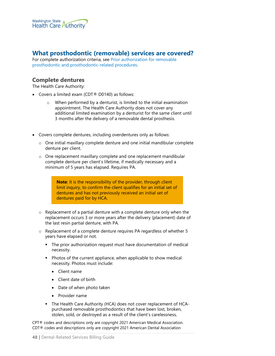

# **What prosthodontic (removable) services are covered?**

For complete authorization criteria, see [Prior authorization for removable](#page-54-0)  [prosthodontic and prosthodontic-related procedures.](#page-54-0)

#### **Complete dentures**

The Health Care Authority:

- Covers a limited exam (CDT® D0140) as follows:
	- o When performed by a denturist, is limited to the initial examination appointment. The Health Care Authority does not cover any additional limited examination by a denturist for the same client until 3 months after the delivery of a removable dental prosthesis.
- Covers complete dentures, including overdentures only as follows:
	- o One initial maxillary complete denture and one initial mandibular complete denture per client.
	- o One replacement maxillary complete and one replacement mandibular complete denture per client's lifetime, if medically necessary and a minimum of 5 years has elapsed. Requires PA.

**Note**: It is the responsibility of the provider, through client limit inquiry, to confirm the client qualifies for an initial set of dentures and has not previously received an initial set of dentures paid for by HCA.

- o Replacement of a partial denture with a complete denture only when the replacement occurs 3 or more years after the delivery (placement) date of the last resin partial denture, with PA.
- o Replacement of a complete denture requires PA regardless of whether 5 years have elapsed or not.
	- The prior authorization request must have documentation of medical necessity.
	- **Photos of the current appliance, when applicable to show medical** necessity. Photos must include:
		- Client name
		- Client date of birth
		- Date of when photo taken
		- Provider name
	- The Health Care Authority (HCA) does not cover replacement of HCApurchased removable prosthodontics that have been lost, broken, stolen, sold, or destroyed as a result of the client's carelessness,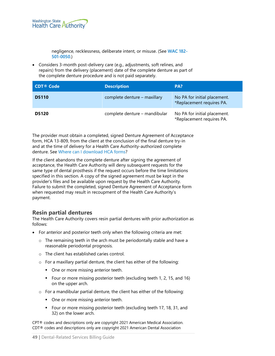

negligence, recklessness, deliberate intent, or misuse. (See **[WAC 182-](https://app.leg.wa.gov/WAC/default.aspx?cite=182-501-0050) [501-0050](https://app.leg.wa.gov/WAC/default.aspx?cite=182-501-0050)**.)

• Considers 3-month post-delivery care (e.g., adjustments, soft relines, and repairs) from the delivery (placement) date of the complete denture as part of the complete denture procedure and is not paid separately.

| CDT <sup>®</sup> Code | <b>Description</b>            | PA?                                                       |
|-----------------------|-------------------------------|-----------------------------------------------------------|
| <b>D5110</b>          | complete denture – maxillary  | No PA for initial placement.<br>*Replacement requires PA. |
| <b>D5120</b>          | complete denture - mandibular | No PA for initial placement.<br>*Replacement requires PA. |

The provider must obtain a completed, signed Denture Agreement of Acceptance form, HCA 13-809, from the client at the conclusion of the final denture try-in and at the time of delivery for a Health Care Authority-authorized complete denture. See [Where can I download HCA](#page-2-0) forms?

If the client abandons the complete denture after signing the agreement of acceptance, the Health Care Authority will deny subsequent requests for the same type of dental prosthesis if the request occurs before the time limitations specified in this section. A copy of the signed agreement must be kept in the provider's files and be available upon request by the Health Care Authority. Failure to submit the completed, signed Denture Agreement of Acceptance form when requested may result in recoupment of the Health Care Authority's payment.

### **Resin partial dentures**

The Health Care Authority covers resin partial dentures with prior authorization as follows:

- For anterior and posterior teeth only when the following criteria are met:
	- o The remaining teeth in the arch must be periodontally stable and have a reasonable periodontal prognosis.
	- o The client has established caries control.
	- o For a maxillary partial denture, the client has either of the following:
		- One or more missing anterior teeth.
		- Four or more missing posterior teeth (excluding teeth 1, 2, 15, and 16) on the upper arch.
	- o For a mandibular partial denture, the client has either of the following:
		- One or more missing anterior teeth.
		- **F** Four or more missing posterior teeth (excluding teeth 17, 18, 31, and 32) on the lower arch.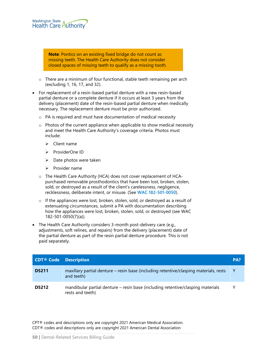

**Note**: Pontics on an existing fixed bridge do not count as missing teeth. The Health Care Authority does not consider closed spaces of missing teeth to qualify as a missing tooth.

- o There are a minimum of four functional, stable teeth remaining per arch (excluding 1, 16, 17, and 32).
- For replacement of a resin-based partial denture with a new resin-based partial denture or a complete denture if it occurs at least 3 years from the delivery (placement) date of the resin-based partial denture when medically necessary. The replacement denture must be prior authorized.
	- o PA is required and must have documentation of medical necessity
	- o Photos of the current appliance when applicable to show medical necessity and meet the Health Care Authority's coverage criteria. Photos must include:
		- $\triangleright$  Client name
		- $\triangleright$  ProviderOne ID
		- $\triangleright$  Date photos were taken
		- $\triangleright$  Provider name
	- o The Health Care Authority (HCA) does not cover replacement of HCApurchased removable prosthodontics that have been lost, broken, stolen, sold, or destroyed as a result of the client's carelessness, negligence, recklessness, deliberate intent, or misuse. (See **[WAC 182-501-0050](https://app.leg.wa.gov/WAC/default.aspx?cite=182-501-0050)**).
	- o If the appliances were lost, broken, stolen, sold, or destroyed as a result of extenuating circumstances, submit a PA with documentation describing how the appliances were lost, broken, stolen, sold, or destroyed (see WAC 182-501-0050(7)(a)).
- The Health Care Authority considers 3-month post-delivery care (e.g., adjustments, soft relines, and repairs) from the delivery (placement) date of the partial denture as part of the resin partial denture procedure. This is not paid separately.

| <b>CDT<sup>®</sup></b> Code Description |                                                                                                     | PA? |
|-----------------------------------------|-----------------------------------------------------------------------------------------------------|-----|
| <b>D5211</b>                            | maxillary partial denture – resin base (including retentive/clasping materials, rests<br>and teeth) | Y   |
| D5212                                   | mandibular partial denture – resin base (including retentive/clasping materials<br>rests and teeth) | v   |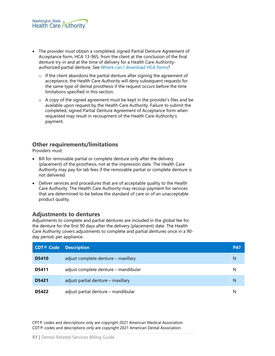- The provider must obtain a completed, signed Partial Denture Agreement of Acceptance form, HCA 13-965, from the client at the conclusion of the final denture try-in and at the time of delivery for a Health Care Authorityauthorized partial denture. See [Where can I download HCA](#page-2-0) forms?
	- $\circ$  If the client abandons the partial denture after signing the agreement of acceptance, the Health Care Authority will deny subsequent requests for the same type of dental prosthesis if the request occurs before the time limitations specified in this section.
	- o A copy of the signed agreement must be kept in the provider's files and be available upon request by the Health Care Authority. Failure to submit the completed, signed Partial Denture Agreement of Acceptance form when requested may result in recoupment of the Health Care Authority's payment.

# **Other requirements/limitations**

Providers must:

- Bill for removable partial or complete denture only after the delivery (placement) of the prosthesis, not at the impression date. The Health Care Authority may pay for lab fees if the removable partial or complete denture is not delivered.
- Deliver services and procedures that are of acceptable quality to the Health Care Authority. The Health Care Authority may recoup payment for services that are determined to be below the standard of care or of an unacceptable product quality.

### **Adjustments to dentures**

Adjustments to complete and partial dentures are included in the global fee for the denture for the first 90 days after the delivery (placement) date. The Health Care Authority covers adjustments to complete and partial dentures once in a 90 day period, per appliance.

| <b>CDT® Code</b> | <b>Description</b>                   | PA? |
|------------------|--------------------------------------|-----|
| <b>D5410</b>     | adjust complete denture – maxillary  | N   |
| <b>D5411</b>     | adjust complete denture - mandibular | N   |
| D5421            | adjust partial denture – maxillary   | N   |
| D5422            | adjust partial denture – mandibular  | N   |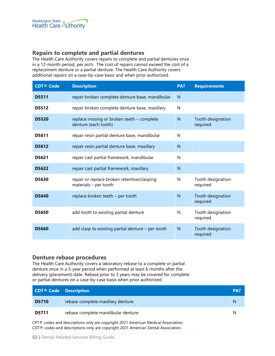# **Repairs to complete and partial dentures**

The Health Care Authority covers repairs to complete and partial dentures once in a 12-month period, per arch. The cost of repairs cannot exceed the cost of a replacement denture or a partial denture. The Health Care Authority covers additional repairs on a case-by-case basis and when prior authorized.

| <b>CDT® Code</b> | <b>Description</b>                                                   | PA?            | <b>Requirements</b>           |
|------------------|----------------------------------------------------------------------|----------------|-------------------------------|
| <b>D5511</b>     | repair broken complete denture base, mandibular                      | N              |                               |
| <b>D5512</b>     | repair broken complete denture base, maxillary                       | N              |                               |
| <b>D5520</b>     | replace missing or broken teeth - complete<br>denture (each tooth)   | N              | Tooth designation<br>required |
| D5611            | repair resin partial denture base, mandibular                        | N              |                               |
| D5612            | repair resin partial denture base, maxillary                         | $\overline{N}$ |                               |
| D5621            | repair cast partial framework, mandibular                            | N              |                               |
| D5622            | repair cast partial framework, maxillary                             | N              |                               |
| D5630            | repair or replace broken retentive/clasping<br>materials - per tooth | N              | Tooth designation<br>required |
| D5640            | replace broken teeth - per tooth                                     | N              | Tooth designation<br>required |
| D5650            | add tooth to existing partial denture                                | N              | Tooth designation<br>required |
| <b>D5660</b>     | add clasp to existing partial denture - per tooth                    | N              | Tooth designation<br>required |

### **Denture rebase procedures**

The Health Care Authority covers a laboratory rebase to a complete or partial denture once in a 3-year period when performed at least 6 months after the delivery (placement) date. Rebase prior to 3 years may be covered for complete or partial dentures on a case-by-case basis when prior authorized.

| <b>CDT<sup>®</sup> Code</b> Description                                           |                                    | PA? |  |
|-----------------------------------------------------------------------------------|------------------------------------|-----|--|
| <b>D5710</b>                                                                      | rebase complete maxillary denture  | N   |  |
| <b>D5711</b>                                                                      | rebase complete mandibular denture | N   |  |
| CPT® codes and descriptions only are copyright 2021 American Medical Association. |                                    |     |  |

CDT® codes and descriptions only are copyright 2021 American Dental Association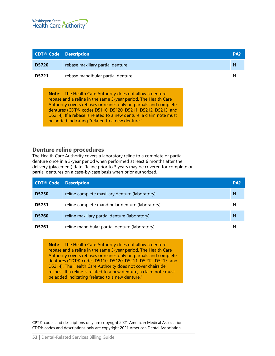

|              | <b>CDT® Code Description</b>                                    | PA? |
|--------------|-----------------------------------------------------------------|-----|
| <b>D5720</b> | rebase maxillary partial denture                                | N   |
| D5721        | rebase mandibular partial denture                               | N   |
|              | <b>Note:</b> The Health Care Authority does not allow a denture |     |

rebase and a reline in the same 3-year period. The Health Care Authority covers rebases or relines only on partials and complete dentures (CDT® codes D5110, D5120, D5211, D5212, D5213, and D5214). If a rebase is related to a new denture, a claim note must be added indicating "related to a new denture."

#### **Denture reline procedures**

The Health Care Authority covers a laboratory reline to a complete or partial denture once in a 3-year period when performed at least 6 months after the delivery (placement) date. Reline prior to 3 years may be covered for complete or partial dentures on a case-by-case basis when prior authorized.

| <b>CDT® Code</b> | <b>Description</b>                              | PA? |
|------------------|-------------------------------------------------|-----|
| <b>D5750</b>     | reline complete maxillary denture (laboratory)  | N   |
| <b>D5751</b>     | reline complete mandibular denture (laboratory) | N   |
| <b>D5760</b>     | reline maxillary partial denture (laboratory)   | N   |
| D5761            | reline mandibular partial denture (laboratory)  |     |

**Note**: The Health Care Authority does not allow a denture rebase and a reline in the same 3-year period. The Health Care Authority covers rebases or relines only on partials and complete dentures (CDT® codes D5110, D5120, D5211, D5212, D5213, and D5214). The Health Care Authority does not cover chairside relines. If a reline is related to a new denture, a claim note must be added indicating "related to a new denture."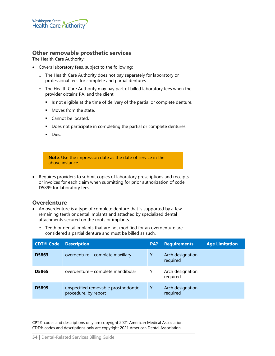

### **Other removable prosthetic services**

The Health Care Authority:

- Covers laboratory fees, subject to the following:
	- o The Health Care Authority does not pay separately for laboratory or professional fees for complete and partial dentures.
	- o The Health Care Authority may pay part of billed laboratory fees when the provider obtains PA, and the client:
		- If Is not eligible at the time of delivery of the partial or complete denture.
		- **Moves from the state.**
		- Cannot be located.
		- Does not participate in completing the partial or complete dentures.
		- **Dies.**

**Note**: Use the impression date as the date of service in the above instance.

• Requires providers to submit copies of laboratory prescriptions and receipts or invoices for each claim when submitting for prior authorization of code D5899 for laboratory fees.

#### **Overdenture**

- An overdenture is a type of complete denture that is supported by a few remaining teeth or dental implants and attached by specialized dental attachments secured on the roots or implants.
	- o Teeth or dental implants that are not modified for an overdenture are considered a partial denture and must be billed as such.

| <b>CDT® Code</b> | <b>Description</b>                                          | PA? | <b>Requirements</b>          | <b>Age Limitation</b> |
|------------------|-------------------------------------------------------------|-----|------------------------------|-----------------------|
| D5863            | overdenture – complete maxillary                            | Υ   | Arch designation<br>required |                       |
| <b>D5865</b>     | overdenture – complete mandibular                           | Y   | Arch designation<br>required |                       |
| <b>D5899</b>     | unspecified removable prosthodontic<br>procedure, by report | Y   | Arch designation<br>required |                       |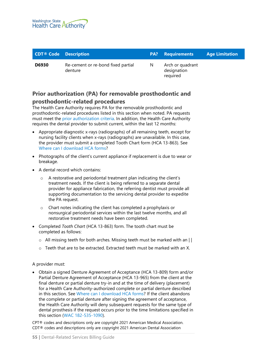

| <b>CDT<sup>®</sup></b> Code Description |                                               |              | <b>PA?</b> Requirements                     | <b>Age Limitation</b> |
|-----------------------------------------|-----------------------------------------------|--------------|---------------------------------------------|-----------------------|
| <b>D6930</b>                            | Re-cement or re-bond fixed partial<br>denture | <sup>N</sup> | Arch or quadrant<br>designation<br>reguired |                       |

# <span id="page-54-0"></span>**Prior authorization (PA) for removable prosthodontic and prosthodontic-related procedures**

The Health Care Authority requires PA for the removable prosthodontic and prosthodontic-related procedures listed in this section when noted. PA requests must meet the [prior authorization criteria.](#page-86-0) In addition, the Health Care Authority requires the dental provider to submit current, within the last 12 months:

- Appropriate diagnostic x-rays (radiographs) of all remaining teeth, except for nursing facility clients when x-rays (radiographs) are unavailable. In this case, the provider must submit a completed Tooth Chart form (HCA 13-863). See [Where can I download HCA](#page-2-0) forms?
- Photographs of the client's current appliance if replacement is due to wear or breakage.
- A dental record which contains:
	- o A restorative and periodontal treatment plan indicating the client's treatment needs. If the client is being referred to a separate dental provider for appliance fabrication, the referring dentist must provide all supporting documentation to the servicing dental provider to expedite the PA request.
	- o Chart notes indicating the client has completed a prophylaxis or nonsurgical periodontal services within the last twelve months, and all restorative treatment needs have been completed.
- Completed *Tooth Chart* (HCA 13-863) form. The tooth chart must be completed as follows:
	- o All missing teeth for both arches. Missing teeth must be marked with an | |
	- $\circ$  Teeth that are to be extracted. Extracted teeth must be marked with an X.

#### A provider must:

• Obtain a signed Denture Agreement of Acceptance (HCA 13-809) form and/or Partial Denture Agreement of Acceptance (HCA 13-965) from the client at the final denture or partial denture try-in and at the time of delivery (placement) for a Health Care Authority-authorized complete or partial denture described in this section. See [Where can I download HCA](#page-2-0) forms? If the client abandons the complete or partial denture after signing the agreement of acceptance, the Health Care Authority will deny subsequent requests for the same type of dental prosthesis if the request occurs prior to the time limitations specified in this section [\(WAC 182-535-1090\)](http://app.leg.wa.gov/WAC/default.aspx?cite=182-535-1090).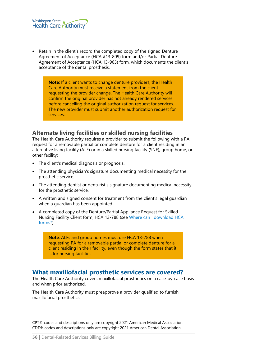

Retain in the client's record the completed copy of the signed Denture Agreement of Acceptance (HCA #13-809) form and/or Partial Denture Agreement of Acceptance (HCA 13-965) form, which documents the client's acceptance of the dental prosthesis.

> **Note**: If a client wants to change denture providers, the Health Care Authority must receive a statement from the client requesting the provider change. The Health Care Authority will confirm the original provider has not already rendered services before cancelling the original authorization request for services. The new provider must submit another authorization request for services.

#### **Alternate living facilities or skilled nursing facilities**

The Health Care Authority requires a provider to submit the following with a PA request for a removable partial or complete denture for a client residing in an alternative living facility (ALF) or in a skilled nursing facility (SNF), group home, or other facility:

- The client's medical diagnosis or prognosis.
- The attending physician's signature documenting medical necessity for the prosthetic service.
- The attending dentist or denturist's signature documenting medical necessity for the prosthetic service.
- A written and signed consent for treatment from the client's legal guardian when a guardian has been appointed.
- A completed copy of the Denture/Partial Appliance Request for Skilled Nursing Facility Client form, HCA 13-788 (see [Where can I download HCA](#page-2-0) [forms?\)](#page-2-0).

**Note**: ALFs and group homes must use HCA 13-788 when requesting PA for a removable partial or complete denture for a client residing in their facility, even though the form states that it is for nursing facilities.

# **What maxillofacial prosthetic services are covered?**

The Health Care Authority covers maxillofacial prosthetics on a case-by-case basis and when prior authorized.

The Health Care Authority must preapprove a provider qualified to furnish maxillofacial prosthetics.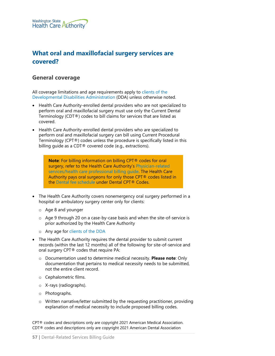

# <span id="page-56-0"></span>**What oral and maxillofacial surgery services are covered?**

# **General coverage**

All coverage limitations and age requirements apply to [clients of the](#page-79-0)  [Developmental Disabilities Administration](#page-79-0) (DDA) unless otherwise noted.

- Health Care Authority-enrolled dental providers who are not specialized to perform oral and maxillofacial surgery must use only the Current Dental Terminology (CDT®) codes to bill claims for services that are listed as covered.
- Health Care Authority-enrolled dental providers who are specialized to perform oral and maxillofacial surgery can bill using Current Procedural Terminology (CPT®) codes unless the procedure is specifically listed in this billing guide as a CDT® covered code (e.g., extractions).

**Note**: For billing information on billing CPT® codes for oral surgery, refer to the Health Care Authority's Physician-related [services/health care professional billing guide.](http://www.hca.wa.gov/node/301) The Health Care Authority pays oral surgeons for only those CPT® codes listed in the [Dental fee schedule](http://www.hca.wa.gov/node/301) under Dental CPT® Codes.

- The Health Care Authority covers nonemergency oral surgery performed in a hospital or ambulatory surgery center only for clients:
	- o Age 8 and younger
	- o Age 9 through 20 on a case-by-case basis and when the site-of-service is prior authorized by the Health Care Authority
	- o Any age for [clients of the DDA](#page-79-0)
- The Health Care Authority requires the dental provider to submit current records (within the last 12 months) all of the following for site-of-service and oral surgery CPT® codes that require PA:
	- o Documentation used to determine medical necessity. **Please note**: Only documentation that pertains to medical necessity needs to be submitted, not the entire client record.
	- o Cephalometric films.
	- o X-rays (radiographs).
	- o Photographs.
	- o Written narrative/letter submitted by the requesting practitioner, providing explanation of medical necessity to include proposed billing codes.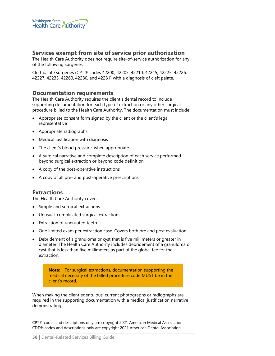

### **Services exempt from site of service prior authorization**

The Health Care Authority does not require site-of-service authorization for any of the following surgeries:

Cleft palate surgeries (CPT® codes 42200, 42205, 42210, 42215, 42225, 42226, 42227, 42235, 42260, 42280, and 42281) with a diagnosis of cleft palate.

#### **Documentation requirements**

The Health Care Authority requires the client's dental record to include supporting documentation for each type of extraction or any other surgical procedure billed to the Health Care Authority. The documentation must include:

- Appropriate consent form signed by the client or the client's legal representative
- Appropriate radiographs
- Medical justification with diagnosis
- The client's blood pressure, when appropriate
- A surgical narrative and complete description of each service performed beyond surgical extraction or beyond code definition
- A copy of the post-operative instructions
- A copy of all pre- and post-operative prescriptions

#### **Extractions**

The Health Care Authority covers:

- Simple and surgical extractions
- Unusual, complicated surgical extractions
- **Extraction of unerupted teeth**
- One limited exam per extraction case. Covers both pre and post evaluation.
- Debridement of a granuloma or cyst that is five millimeters or greater in diameter. The Health Care Authority includes debridement of a granuloma or cyst that is less than five millimeters as part of the global fee for the extraction.

**Note**: For surgical extractions, documentation supporting the medical necessity of the billed procedure code MUST be in the client's record.

When making the client edentulous, current photographs or radiographs are required in the supporting documentation with a medical justification narrative demonstrating: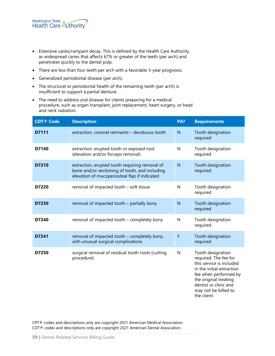- Extensive caries/rampant decay. This is defined by the Health Care Authority as widespread caries that affects 67% or greater of the teeth (per arch) and penetrates quickly to the dental pulp.
- There are less than four teeth per arch with a favorable 3-year prognosis.
- Generalized periodontal disease (per arch).
- The structural or periodontal health of the remaining teeth (per arch) is insufficient to support a partial denture.
- The need to address oral disease for clients preparing for a medical procedure, such as organ transplant, joint replacement, heart surgery, or head and neck radiation.

| <b>CDT® Code</b> | <b>Description</b>                                                                                                                                | PA?            | <b>Requirements</b>                                                                                                                                                                                                   |
|------------------|---------------------------------------------------------------------------------------------------------------------------------------------------|----------------|-----------------------------------------------------------------------------------------------------------------------------------------------------------------------------------------------------------------------|
| D7111            | extraction, coronal remnants - deciduous tooth                                                                                                    | $\mathsf{N}$   | Tooth designation<br>required                                                                                                                                                                                         |
| D7140            | extraction, erupted tooth or exposed root<br>(elevation and/or forceps removal)                                                                   | N              | Tooth designation<br>required                                                                                                                                                                                         |
| D7210            | extraction, erupted tooth requiring removal of<br>bone and/or sectioning of tooth, and including<br>elevation of mucoperiosteal flap if indicated | $\overline{N}$ | Tooth designation<br>required                                                                                                                                                                                         |
| D7220            | removal of impacted tooth - soft tissue                                                                                                           | $\mathsf{N}$   | Tooth designation<br>required                                                                                                                                                                                         |
| D7230            | removal of impacted tooth - partially bony                                                                                                        | $\mathsf{N}$   | Tooth designation<br>required                                                                                                                                                                                         |
| D7240            | removal of impacted tooth - completely bony                                                                                                       | $\mathsf{N}$   | Tooth designation<br>required                                                                                                                                                                                         |
| D7241            | removal of impacted tooth – completely bony,<br>with unusual surgical complications                                                               | Υ              | Tooth designation<br>required                                                                                                                                                                                         |
| D7250            | surgical removal of residual tooth roots (cutting<br>procedure)                                                                                   | $\mathsf{N}$   | Tooth designation<br>required. The fee for<br>this service is included<br>in the initial extraction<br>fee when performed by<br>the original treating<br>dentist or clinic and<br>may not be billed to<br>the client. |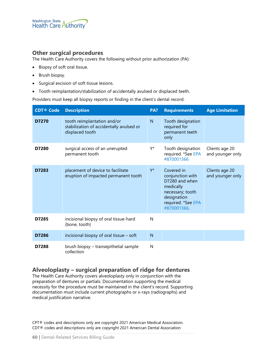

### **Other surgical procedures**

The Health Care Authority covers the following without prior authorization (PA):

- Biopsy of soft oral tissue.
- Brush biopsy.
- Surgical excision of soft tissue lesions.
- Tooth reimplantation/stabilization of accidentally avulsed or displaced teeth.

Providers must keep all biopsy reports or finding in the client's dental record.

| <b>CDT® Code</b> | <b>Description</b>                                                                         | PA? | <b>Requirements</b>                                                                                                                   | <b>Age Limitation</b>              |
|------------------|--------------------------------------------------------------------------------------------|-----|---------------------------------------------------------------------------------------------------------------------------------------|------------------------------------|
| D7270            | tooth reimplantation and/or<br>stabilization of accidentally avulsed or<br>displaced tooth | N   | Tooth designation<br>required for<br>permanent teeth<br>only                                                                          |                                    |
| D7280            | surgical access of an unerupted<br>permanent tooth                                         | Y*  | Tooth designation<br>required. *See EPA<br>#870001366                                                                                 | Clients age 20<br>and younger only |
| D7283            | placement of device to facilitate<br>eruption of impacted permanent tooth                  | Y*  | Covered in<br>conjunction with<br>D7280 and when<br>medically<br>necessary; tooth<br>designation<br>required. *See EPA<br>#870001366. | Clients age 20<br>and younger only |
| D7285            | incisional biopsy of oral tissue-hard<br>(bone, tooth)                                     | N   |                                                                                                                                       |                                    |
| D7286            | incisional biopsy of oral tissue – soft                                                    | N   |                                                                                                                                       |                                    |
| D7288            | brush biopsy - transepithelial sample<br>collection                                        | N   |                                                                                                                                       |                                    |

### **Alveoloplasty – surgical preparation of ridge for dentures**

The Health Care Authority covers alveoloplasty only in conjunction with the preparation of dentures or partials. Documentation supporting the medical necessity for the procedure must be maintained in the client's record. Supporting documentation must include current photographs or x-rays (radiographs) and medical justification narrative.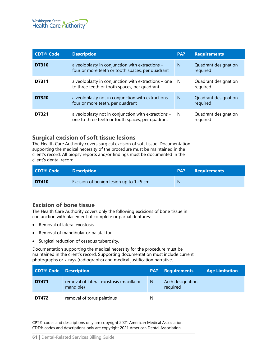

| <b>CDT® Code</b> | <b>Description</b>                                                                                      | PA? | <b>Requirements</b>              |
|------------------|---------------------------------------------------------------------------------------------------------|-----|----------------------------------|
| D7310            | alveoloplasty in conjunction with extractions -<br>four or more teeth or tooth spaces, per quadrant     | N   | Quadrant designation<br>required |
| D7311            | alveoloplasty in conjunction with extractions – one<br>to three teeth or tooth spaces, per quadrant     | N   | Quadrant designation<br>required |
| D7320            | alveoloplasty not in conjunction with extractions -<br>four or more teeth, per quadrant                 | N   | Quadrant designation<br>required |
| D7321            | alveoloplasty not in conjunction with extractions -<br>one to three teeth or tooth spaces, per quadrant | N   | Quadrant designation<br>required |

### **Surgical excision of soft tissue lesions**

The Health Care Authority covers surgical excision of soft tissue. Documentation supporting the medical necessity of the procedure must be maintained in the client's record. All biopsy reports and/or findings must be documented in the client's dental record.

| CDT® Code | <b>Description</b>                      | PA? | <b>Requirements</b> |
|-----------|-----------------------------------------|-----|---------------------|
| D7410     | Excision of benign lesion up to 1.25 cm | N   |                     |

### **Excision of bone tissue**

The Health Care Authority covers only the following excisions of bone tissue in conjunction with placement of complete or partial dentures:

- Removal of lateral exostosis.
- Removal of mandibular or palatal tori.
- Surgical reduction of osseous tuberosity.

Documentation supporting the medical necessity for the procedure must be maintained in the client's record. Supporting documentation must include current photographs or x-rays (radiographs) and medical justification narrative.

| <b>CDT<sup>®</sup></b> Code Description |                                                       |   | <b>PA?</b> Requirements      | <b>Age Limitation</b> |
|-----------------------------------------|-------------------------------------------------------|---|------------------------------|-----------------------|
| D7471                                   | removal of lateral exostosis (maxilla or<br>mandible) | N | Arch designation<br>required |                       |
| D7472                                   | removal of torus palatinus                            | N |                              |                       |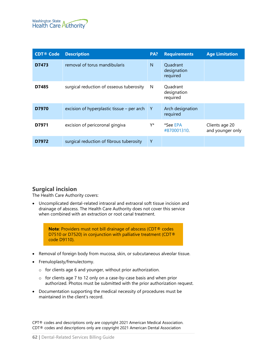

| <b>CDT® Code</b> | <b>Description</b>                         | PA?          | <b>Requirements</b>                 | <b>Age Limitation</b>              |
|------------------|--------------------------------------------|--------------|-------------------------------------|------------------------------------|
| D7473            | removal of torus mandibularis              | N            | Quadrant<br>designation<br>required |                                    |
| D7485            | surgical reduction of osseous tuberosity   | <sup>N</sup> | Quadrant<br>designation<br>required |                                    |
| D7970            | excision of hyperplastic tissue – per arch | Y            | Arch designation<br>required        |                                    |
| D7971            | excision of pericoronal gingiva            | Y*           | *See EPA<br>#870001310.             | Clients age 20<br>and younger only |
| D7972            | surgical reduction of fibrous tuberosity   | Y            |                                     |                                    |

# **Surgical incision**

The Health Care Authority covers:

• Uncomplicated dental-related intraoral and extraoral soft tissue incision and drainage of abscess. The Health Care Authority does not cover this service when combined with an extraction or root canal treatment.

**Note**: Providers must not bill drainage of abscess (CDT® codes D7510 or D7520) in conjunction with palliative treatment (CDT® code D9110).

- Removal of foreign body from mucosa, skin, or subcutaneous alveolar tissue.
- Frenuloplasty/frenulectomy.
	- o for clients age 6 and younger, without prior authorization.
	- o for clients age 7 to 12 only on a case-by-case basis and when prior authorized. Photos must be submitted with the prior authorization request.
- Documentation supporting the medical necessity of procedures must be maintained in the client's record.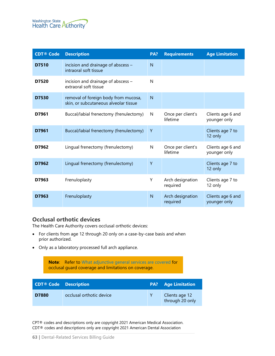

| <b>CDT® Code</b> | <b>Description</b>                                                            | PA? | <b>Requirements</b>           | <b>Age Limitation</b>             |
|------------------|-------------------------------------------------------------------------------|-----|-------------------------------|-----------------------------------|
| D7510            | incision and drainage of abscess -<br>intraoral soft tissue                   | N   |                               |                                   |
| D7520            | incision and drainage of abscess -<br>extraoral soft tissue                   | N   |                               |                                   |
| D7530            | removal of foreign body from mucosa,<br>skin, or subcutaneous alveolar tissue | N   |                               |                                   |
| D7961            | Buccal/labial frenectomy (frenulectomy)                                       | N   | Once per client's<br>lifetime | Clients age 6 and<br>younger only |
| D7961            | Buccal/labial frenectomy (frenulectomy)                                       | Y   |                               | Clients age 7 to<br>12 only       |
| D7962            | Lingual frenectomy (frenulectomy)                                             | N   | Once per client's<br>lifetime | Clients age 6 and<br>younger only |
| D7962            | Lingual frenectomy (frenulectomy)                                             | Y   |                               | Clients age 7 to<br>12 only       |
| D7963            | Frenuloplasty                                                                 | Y   | Arch designation<br>required  | Clients age 7 to<br>12 only       |
| D7963            | Frenuloplasty                                                                 | N   | Arch designation<br>required  | Clients age 6 and<br>younger only |

### **Occlusal orthotic devices**

The Health Care Authority covers occlusal orthotic devices:

- For clients from age 12 through 20 only on a case-by-case basis and when prior authorized.
- Only as a laboratory processed full arch appliance.

**Note**: Refer to [What adjunctive general services are covered](#page-63-0) for occlusal guard coverage and limitations on coverage.

| <b>CDT® Code Description</b> |                          | <b>PA?</b> Age Limitation         |
|------------------------------|--------------------------|-----------------------------------|
| D7880                        | occlusal orthotic device | Clients age 12<br>through 20 only |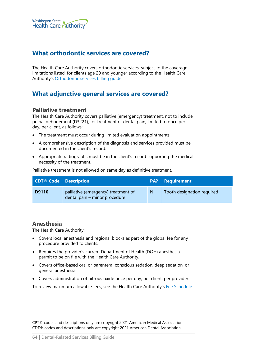

# **What orthodontic services are covered?**

The Health Care Authority covers orthodontic services, subject to the coverage limitations listed, for clients age 20 and younger according to the Health Care Authority's [Orthodontic services billing guide.](http://www.hca.wa.gov/node/301)

# <span id="page-63-0"></span>**What adjunctive general services are covered?**

#### **Palliative treatment**

The Health Care Authority covers palliative (emergency) treatment, not to include pulpal debridement (D3221), for treatment of dental pain, limited to once per day, per client, as follows:

- The treatment must occur during limited evaluation appointments.
- A comprehensive description of the diagnosis and services provided must be documented in the client's record.
- Appropriate radiographs must be in the client's record supporting the medical necessity of the treatment.

Palliative treatment is not allowed on same day as definitive treatment.

| <b>CDT® Code Description</b> |                                                                      |      | <b>PA?</b> Requirement     |
|------------------------------|----------------------------------------------------------------------|------|----------------------------|
| D9110                        | palliative (emergency) treatment of<br>dental pain - minor procedure | / N/ | Tooth designation required |

#### **Anesthesia**

The Health Care Authority:

- Covers local anesthesia and regional blocks as part of the global fee for any procedure provided to clients.
- Requires the provider's current Department of Health (DOH) anesthesia permit to be on file with the Health Care Authority.
- Covers office-based oral or parenteral conscious sedation, deep sedation, or general anesthesia.
- Covers administration of nitrous oxide once per day, per client, per provider.

To review maximum allowable fees, see the Health Care Authority's [Fee Schedule.](https://www.hca.wa.gov/node/301)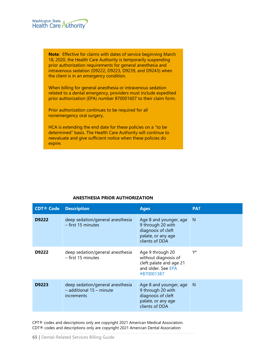

**Note**: Effective for claims with dates of service beginning March 18, 2020, the Health Care Authority is temporarily suspending prior authorization requirements for general anesthesia and intravenous sedation (D9222, D9223, D9239, and D9243) when the client is in an emergency condition.

When billing for general anesthesia or intravenous sedation related to a dental emergency, providers must include expedited prior authorization (EPA) number 870001607 to their claim form.

Prior authorization continues to be required for all nonemergency oral surgery.

HCA is extending the end date for these policies on a "to be determined" basis. The Health Care Authority will continue to reevaluate and give sufficient notice when these policies do expire.

| <b>CDT® Code</b> | <b>Description</b>                                                                    | <b>Ages</b>                                                                                               | PA? |
|------------------|---------------------------------------------------------------------------------------|-----------------------------------------------------------------------------------------------------------|-----|
| D9222            | deep sedation/general anesthesia<br>$-$ first 15 minutes                              | Age 8 and younger, age<br>9 through 20 with<br>diagnosis of cleft<br>palate, or any age<br>clients of DDA | N   |
| D9222            | deep sedation/general anesthesia<br>$-$ first 15 minutes                              | Age 9 through 20<br>without diagnosis of<br>cleft palate and age 21<br>and older. See EPA<br>#870001387   | Y*  |
| D9223            | deep sedation/general anesthesia<br>$-$ additional 15 $-$ minute<br><i>increments</i> | Age 8 and younger, age<br>9 through 20 with<br>diagnosis of cleft<br>palate, or any age<br>clients of DDA | N   |

#### **ANESTHESIA PRIOR AUTHORIZATION**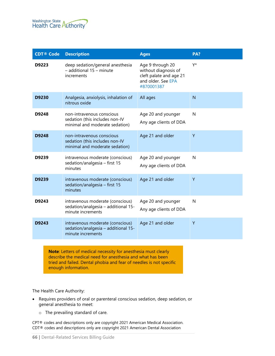

| <b>CDT® Code</b> | <b>Description</b>                                                                            | <b>Ages</b>                                                                                             | PA? |
|------------------|-----------------------------------------------------------------------------------------------|---------------------------------------------------------------------------------------------------------|-----|
| D9223            | deep sedation/general anesthesia<br>- additional 15 - minute<br>increments                    | Age 9 through 20<br>without diagnosis of<br>cleft palate and age 21<br>and older. See EPA<br>#870001387 | Y*  |
| D9230            | Analgesia, anxiolysis, inhalation of<br>nitrous oxide                                         | All ages                                                                                                | N   |
| D9248            | non-intravenous conscious<br>sedation (this includes non-IV<br>minimal and moderate sedation) | Age 20 and younger<br>Any age clients of DDA                                                            | N   |
| D9248            | non-intravenous conscious<br>sedation (this includes non-IV<br>minimal and moderate sedation) | Age 21 and older                                                                                        | Y   |
| D9239            | intravenous moderate (conscious)<br>sedation/analgesia - first 15<br>minutes                  | Age 20 and younger<br>Any age clients of DDA                                                            | N   |
| D9239            | intravenous moderate (conscious)<br>sedation/analgesia - first 15<br>minutes                  | Age 21 and older                                                                                        | Y   |
| D9243            | intravenous moderate (conscious)<br>sedation/analgesia - additional 15-<br>minute increments  | Age 20 and younger<br>Any age clients of DDA                                                            | N   |
| D9243            | intravenous moderate (conscious)<br>sedation/analgesia - additional 15-<br>minute increments  | Age 21 and older                                                                                        | Y   |
|                  |                                                                                               |                                                                                                         |     |

**Note**: Letters of medical necessity for anesthesia must clearly describe the medical need for anesthesia and what has been tried and failed. Dental phobia and fear of needles is not specific enough information.

The Health Care Authority:

- Requires providers of oral or parenteral conscious sedation, deep sedation, or general anesthesia to meet:
	- o The prevailing standard of care.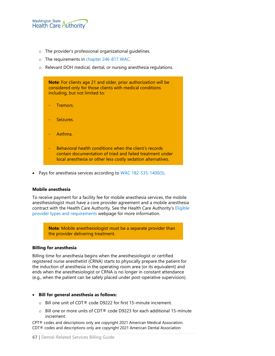

- o The provider's professional organizational guidelines.
- o The requirements in [chapter 246-817 WAC.](http://apps.leg.wa.gov/wac/default.aspx?cite=246-817)
- o Relevant DOH medical, dental, or nursing anesthesia regulations.



• Pays for anesthesia services according to [WAC 182-535-1400\(5\).](http://apps.leg.wa.gov/wac/default.aspx?cite=182-535-1400)

#### **Mobile anesthesia**

To receive payment for a facility fee for mobile anesthesia services, the mobile anesthesiologist must have a core provider agreement and a mobile anesthesia contract with the Health Care Authority. See the Health Care Authority's [Eligible](https://www.hca.wa.gov/billers-providers-partners/apple-health-medicaid-providers/eligible-provider-types-and-requirements)  [provider types and requirements](https://www.hca.wa.gov/billers-providers-partners/apple-health-medicaid-providers/eligible-provider-types-and-requirements) webpage for more information.

> **Note**: Mobile anesthesiologist must be a separate provider than the provider delivering treatment.

#### **Billing for anesthesia**

Billing time for anesthesia begins when the anesthesiologist or certified registered nurse anesthetist (CRNA) starts to physically prepare the patient for the induction of anesthesia in the operating room area (or its equivalent) and ends when the anesthesiologist or CRNA is no longer in constant attendance (e.g., when the patient can be safely placed under post-operative supervision).

#### • **Bill for general anesthesia as follows:**

- o Bill one unit of CDT® code D9222 for first 15-minute increment.
- $\circ$  Bill one or more units of CDT® code D9223 for each additional 15-minute increment.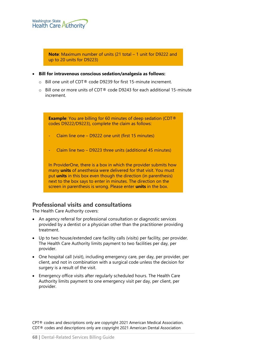

**Note**: Maximum number of units (21 total – 1 unit for D9222 and up to 20 units for D9223)

- **Bill for intravenous conscious sedation/analgesia as follows:**
	- o Bill one unit of CDT® code D9239 for first 15-minute increment.
	- $\circ$  Bill one or more units of CDT® code D9243 for each additional 15-minute increment.

**Example**: You are billing for 60 minutes of deep sedation (CDT® codes D9222/D9223), complete the claim as follows:

- Claim line one D9222 one unit (first 15 minutes)
- Claim line two D9223 three units (additional 45 minutes)

In ProviderOne, there is a box in which the provider submits how many **units** of anesthesia were delivered for that visit. You must put **units** in this box even though the direction (in parenthesis) next to the box says to enter in minutes. The direction on the screen in parenthesis is wrong. Please enter **units** in the box.

# **Professional visits and consultations**

The Health Care Authority covers:

- An agency referral for professional consultation or diagnostic services provided by a dentist or a physician other than the practitioner providing treatment.
- Up to two house/extended care facility calls (visits) per facility, per provider. The Health Care Authority limits payment to two facilities per day, per provider.
- One hospital call (visit), including emergency care, per day, per provider, per client, and not in combination with a surgical code unless the decision for surgery is a result of the visit.
- Emergency office visits after regularly scheduled hours. The Health Care Authority limits payment to one emergency visit per day, per client, per provider.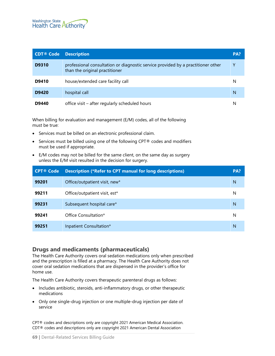

| <b>CDT® Code</b> | <b>Description</b>                                                                                                 | PA? |
|------------------|--------------------------------------------------------------------------------------------------------------------|-----|
| D9310            | professional consultation or diagnostic service provided by a practitioner other<br>than the original practitioner | γ   |
| D9410            | house/extended care facility call                                                                                  | N   |
| D9420            | hospital call                                                                                                      | N   |
| D9440            | office visit – after regularly scheduled hours                                                                     |     |

When billing for evaluation and management (E/M) codes, all of the following must be true:

- Services must be billed on an electronic professional claim.
- Services must be billed using one of the following CPT® codes and modifiers must be used if appropriate.
- E/M codes may not be billed for the same client, on the same day as surgery unless the E/M visit resulted in the decision for surgery.

| <b>CPT® Code</b> | <b>Description (*Refer to CPT manual for long descriptions)</b> | PA? |
|------------------|-----------------------------------------------------------------|-----|
| 99201            | Office/outpatient visit, new*                                   | N   |
| 99211            | Office/outpatient visit, est*                                   | N   |
| 99231            | Subsequent hospital care*                                       | N   |
| 99241            | Office Consultation*                                            | N   |
| 99251            | Inpatient Consultation*                                         | N   |

### **Drugs and medicaments (pharmaceuticals)**

The Health Care Authority covers oral sedation medications only when prescribed and the prescription is filled at a pharmacy. The Health Care Authority does not cover oral sedation medications that are dispensed in the provider's office for home use.

The Health Care Authority covers therapeutic parenteral drugs as follows:

- Includes antibiotic, steroids, anti-inflammatory drugs, or other therapeutic medications
- Only one single-drug injection or one multiple-drug injection per date of service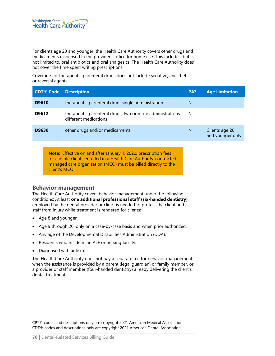

For clients age 20 and younger, the Health Care Authority covers other drugs and medicaments dispensed in the provider's office for home use. This includes, but is not limited to, oral antibiotics and oral analgesics. The Health Care Authority does not cover the time spent writing prescriptions.

Coverage for therapeutic parenteral drugs does not include sedative, anesthetic, or reversal agents.

| <b>CDT® Code</b> | <b>Description</b>                                                                                                                                                                                              | PA? | <b>Age Limitation</b>              |
|------------------|-----------------------------------------------------------------------------------------------------------------------------------------------------------------------------------------------------------------|-----|------------------------------------|
| D9610            | therapeutic parenteral drug, single administration                                                                                                                                                              | N   |                                    |
| D9612            | therapeutic parenteral drugs, two or more administrations,<br>different medications                                                                                                                             | N   |                                    |
| D9630            | other drugs and/or medicaments                                                                                                                                                                                  | N   | Clients age 20<br>and younger only |
| client's MCO.    | <b>Note:</b> Effective on and after January 1, 2020, prescription fees<br>for eligible clients enrolled in a Health Care Authority-contracted<br>managed care organization (MCO) must be billed directly to the |     |                                    |

#### **Behavior management**

The Health Care Authority covers behavior management under the following conditions: At least **one additional professional staff (six-handed dentistry)**, employed by the dental provider or clinic, is needed to protect the client and staff from injury while treatment is rendered for clients:

- Age 8 and younger.
- Age 9 through 20, only on a case-by-case basis and when prior authorized.
- Any age of the Developmental Disabilities Administration (DDA).
- Residents who reside in an ALF or nursing facility.
- Diagnosed with autism.

The Health Care Authority does not pay a separate fee for behavior management when the assistance is provided by a parent (legal guardian) or family member, or a provider or staff member (four-handed dentistry) already delivering the client's dental treatment.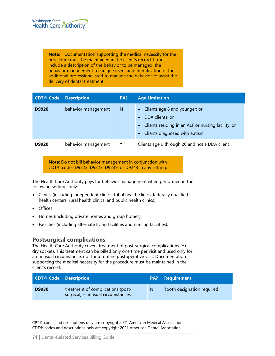**Note**: Documentation supporting the medical necessity for the procedure must be maintained in the client's record. It must include a description of the behavior to be managed, the behavior management technique used, and identification of the additional professional staff to manage the behavior to assist the delivery of dental treatment.

| <b>CDT<sup>®</sup></b> Code Description |                     | PA? | <b>Age Limitation</b>                                                                                                                                                            |
|-----------------------------------------|---------------------|-----|----------------------------------------------------------------------------------------------------------------------------------------------------------------------------------|
| D9920                                   | behavior management | N   | • Clients age 8 and younger; or<br>DDA clients; or<br>$\bullet$<br>Clients residing in an ALF or nursing facility; or<br>$\bullet$<br>Clients diagnosed with autism<br>$\bullet$ |
| D9920                                   | behavior management |     | Clients age 9 through 20 and not a DDA client                                                                                                                                    |

**Note**: Do not bill behavior management in conjunction with CDT® codes D9222, D9223, D9239, or D9243 in any setting.

The Health Care Authority pays for behavior management when performed in the following settings only:

- Clinics (including independent clinics, tribal health clinics, federally qualified health centers, rural health clinics, and public health clinics).
- Offices.
- Homes (including private homes and group homes).
- Facilities (including alternate living facilities and nursing facilities).

# **Postsurgical complications**

The Health Care Authority covers treatment of post-surgical complications (e.g., dry socket). This treatment can be billed only one time per visit and used only for an unusual circumstance, not for a routine postoperative visit. Documentation supporting the medical necessity for the procedure must be maintained in the client's record.

| <b>CDT® Code Description</b> |                                                                        |   | <b>PA?</b> Requirement     |
|------------------------------|------------------------------------------------------------------------|---|----------------------------|
| D9930                        | treatment of complications (post-<br>surgical) - unusual circumstances | N | Tooth designation required |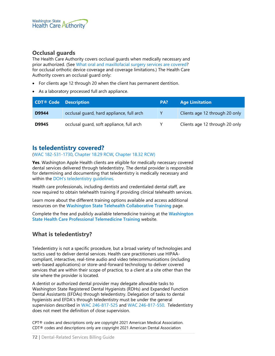# **Occlusal guards**

The Health Care Authority covers occlusal guards when medically necessary and prior authorized. (See [What oral and maxillofacial surgery services are covered?](#page-56-0) for occlusal orthotic device coverage and coverage limitations.) The Health Care Authority covers an occlusal guard only:

- For clients age 12 through 20 when the client has permanent dentition.
- As a laboratory processed full arch appliance.

| <b>CDT<sup>®</sup></b> Code Description |                                           | PA? | <b>Age Limitation</b>          |
|-----------------------------------------|-------------------------------------------|-----|--------------------------------|
| D9944                                   | occlusal guard, hard appliance, full arch | Y   | Clients age 12 through 20 only |
| D9945                                   | occlusal quard, soft appliance, full arch |     | Clients age 12 through 20 only |

# **Is teledentistry covered?**

#### [\(WAC 182-531-1730,](http://apps.leg.wa.gov/wac/default.aspx?cite=182-531-1730) [Chapter 18.29 RCW,](http://app.leg.wa.gov/rcw/default.aspx?cite=18.29) [Chapter 18.32 RCW\)](http://app.leg.wa.gov/rcw/default.aspx?cite=18.32)

**Yes**. Washington Apple Health clients are eligible for medically necessary covered dental services delivered through teledentistry. The dental provider is responsible for determining and documenting that teledentistry is medically necessary and within the DOH's teledentistry quidelines.

Health care professionals, including dentists and credentialed dental staff, are now required to obtain telehealth training if providing clinical telehealth services.

Learn more about the different training options available and access additional resources on the **[Washington State Telehealth Collaborative Training](https://www.wsha.org/policy-advocacy/issues/telemedicine/washington-state-telemedicine-collaborative/telemedicine-training/)** page.

Complete the free and publicly available telemedicine training at the **[Washington](https://nrtrc.catalog.instructure.com/courses/washington-state-healthcare-professional-telemedicine-training)  [State Health Care Professional Telemedicine Training](https://nrtrc.catalog.instructure.com/courses/washington-state-healthcare-professional-telemedicine-training)** website.

# **What is teledentistry?**

Teledentistry is not a specific procedure, but a broad variety of technologies and tactics used to deliver dental services. Health care practitioners use HIPAAcompliant, interactive, real-time audio and video telecommunications (including web-based applications) or store-and-forward technology to deliver covered services that are within their scope of practice, to a client at a site other than the site where the provider is located.

A dentist or authorized dental provider may delegate allowable tasks to Washington State Registered Dental Hygienists (RDHs) and Expanded Function Dental Assistants (EFDAs) through teledentistry. Delegation of tasks to dental hygienists and EFDA's through teledentistry must be under the general supervision described in [WAC 246-817-525](https://app.leg.wa.gov/wac/default.aspx?cite=246-817-525) and [WAC 246-817-550.](http://app.leg.wa.gov/wac/default.aspx?cite=246-817-550) Teledentistry does not meet the definition of close supervision.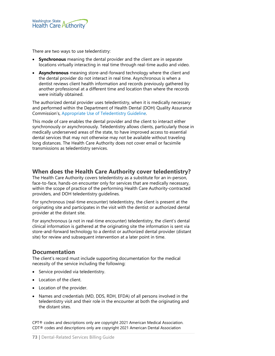

There are two ways to use teledentistry:

- **Synchronous** meaning the dental provider and the client are in separate locations virtually interacting in real time through real-time audio and video.
- **Asynchronous** meaning store-and-forward technology where the client and the dental provider do not interact in real time. Asynchronous is when a dentist reviews client health information and records previously gathered by another professional at a different time and location than where the records were initially obtained.

The authorized dental provider uses teledentistry, when it is medically necessary and performed within the Department of Health Dental (DOH) Quality Assurance Commission's, [Appropriate Use of Teledentistry Guideline.](https://www.doh.wa.gov/Portals/1/Documents/2300/2017/Teledentistry.pdf) 

This mode of care enables the dental provider and the client to interact either synchronously or asynchronously. Teledentistry allows clients, particularly those in medically underserved areas of the state, to have improved access to essential dental services that may not otherwise may not be available without traveling long distances. The Health Care Authority does not cover email or facsimile transmissions as teledentistry services.

### **When does the Health Care Authority cover teledentistry?**

The Health Care Authority covers teledentistry as a substitute for an in-person, face-to-face, hands-on encounter only for services that are medically necessary, within the scope of practice of the performing Health Care Authority-contracted providers, and DOH teledentistry guidelines.

For synchronous (real-time encounter) teledentistry, the client is present at the originating site and participates in the visit with the dentist or authorized dental provider at the distant site.

For asynchronous (a not in real-time encounter) teledentistry, the client's dental clinical information is gathered at the originating site the information is sent via store-and-forward technology to a dentist or authorized dental provider (distant site) for review and subsequent intervention at a later point in time.

### **Documentation**

The client's record must include supporting documentation for the medical necessity of the service including the following:

- Service provided via teledentistry.
- Location of the client.
- Location of the provider.
- Names and credentials (MD, DDS, RDH, EFDA) of all persons involved in the teledentistry visit and their role in the encounter at both the originating and the distant sites.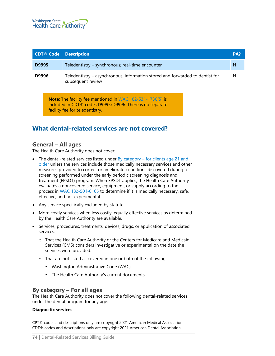

| <b>CDT® Code</b> | <b>Description</b>                                                                                                                        | PA? |
|------------------|-------------------------------------------------------------------------------------------------------------------------------------------|-----|
| D9995            | Teledentistry - synchronous; real-time encounter                                                                                          | N   |
| D9996            | Teledentistry – asynchronous; information stored and forwarded to dentist for<br>subsequent review                                        | N   |
|                  | <b>Note:</b> The facility fee mentioned in WAC 182-531-1730(5) is<br>included in CDT <sup>®</sup> codes D9995/D9996. There is no separate |     |

facility fee for teledentistry.

### **What dental-related services are not covered?**

### **General – All ages**

The Health Care Authority does not cover:

- The dental-related services listed under By category for clients age 21 and [older](#page-77-0) unless the services include those medically necessary services and other measures provided to correct or ameliorate conditions discovered during a screening performed under the early periodic screening diagnosis and treatment (EPSDT) program. When EPSDT applies, the Health Care Authority evaluates a noncovered service, equipment, or supply according to the process in [WAC 182-501-0165](http://app.leg.wa.gov/wac/default.aspx?cite=182-501-0165) to determine if it is medically necessary, safe, effective, and not experimental.
- Any service specifically excluded by statute.
- More costly services when less costly, equally effective services as determined by the Health Care Authority are available.
- Services, procedures, treatments, devices, drugs, or application of associated services:
	- o That the Health Care Authority or the Centers for Medicare and Medicaid Services (CMS) considers investigative or experimental on the date the services were provided.
	- o That are not listed as covered in one or both of the following:
		- **Washington Administrative Code (WAC).**
		- **The Health Care Authority's current documents.**

### **By category – For all ages**

The Health Care Authority does not cover the following dental-related services under the dental program for any age:

#### **Diagnostic services**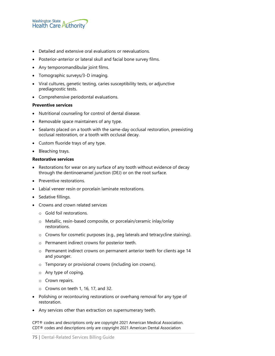

- Detailed and extensive oral evaluations or reevaluations.
- Posterior-anterior or lateral skull and facial bone survey films.
- Any temporomandibular joint films.
- Tomographic surveys/3-D imaging.
- Viral cultures, genetic testing, caries susceptibility tests, or adjunctive prediagnostic tests.
- Comprehensive periodontal evaluations.

#### **Preventive services**

- Nutritional counseling for control of dental disease.
- Removable space maintainers of any type.
- Sealants placed on a tooth with the same-day occlusal restoration, preexisting occlusal restoration, or a tooth with occlusal decay.
- Custom fluoride trays of any type.
- Bleaching trays.

#### **Restorative services**

- Restorations for wear on any surface of any tooth without evidence of decay through the dentinoenamel junction (DEJ) or on the root surface.
- Preventive restorations.
- Labial veneer resin or porcelain laminate restorations.
- Sedative fillings.
- Crowns and crown related services
	- o Gold foil restorations.
	- o Metallic, resin-based composite, or porcelain/ceramic inlay/onlay restorations.
	- o Crowns for cosmetic purposes (e.g., peg laterals and tetracycline staining).
	- o Permanent indirect crowns for posterior teeth.
	- o Permanent indirect crowns on permanent anterior teeth for clients age 14 and younger.
	- o Temporary or provisional crowns (including ion crowns).
	- o Any type of coping.
	- o Crown repairs.
	- o Crowns on teeth 1, 16, 17, and 32.
- Polishing or recontouring restorations or overhang removal for any type of restoration.
- Any services other than extraction on supernumerary teeth.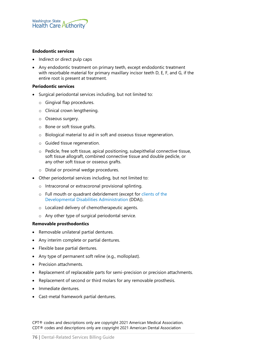

#### **Endodontic services**

- Indirect or direct pulp caps
- Any endodontic treatment on primary teeth, except endodontic treatment with resorbable material for primary maxillary incisor teeth D, E, F, and G, if the entire root is present at treatment.

#### **Periodontic services**

- Surgical periodontal services including, but not limited to:
	- o Gingival flap procedures.
	- o Clinical crown lengthening.
	- o Osseous surgery.
	- o Bone or soft tissue grafts.
	- o Biological material to aid in soft and osseous tissue regeneration.
	- o Guided tissue regeneration.
	- o Pedicle, free soft tissue, apical positioning, subepithelial connective tissue, soft tissue allograft, combined connective tissue and double pedicle, or any other soft tissue or osseous grafts.
	- o Distal or proximal wedge procedures.
- Other periodontal services including, but not limited to:
	- o Intracoronal or extracoronal provisional splinting.
	- o Full mouth or quadrant debridement (except for [clients of the](#page-79-0)  [Developmental Disabilities Administration](#page-79-0) (DDA)).
	- o Localized delivery of chemotherapeutic agents.
	- o Any other type of surgical periodontal service.

#### **Removable prosthodontics**

- Removable unilateral partial dentures.
- Any interim complete or partial dentures.
- Flexible base partial dentures.
- Any type of permanent soft reline (e.g., molloplast).
- Precision attachments.
- Replacement of replaceable parts for semi-precision or precision attachments.
- Replacement of second or third molars for any removable prosthesis.
- Immediate dentures.
- Cast-metal framework partial dentures.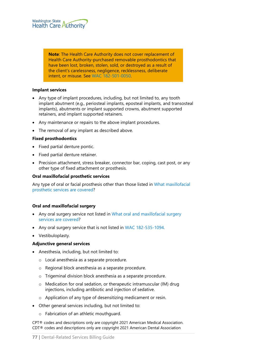

**Note**: The Health Care Authority does not cover replacement of Health Care Authority-purchased removable prosthodontics that have been lost, broken, stolen, sold, or destroyed as a result of the client's carelessness, negligence, recklessness, deliberate intent, or misuse. See [WAC 182-501-0050.](http://app.leg.wa.gov/WAC/default.aspx?cite=182-501-0050)

#### **Implant services**

- Any type of implant procedures, including, but not limited to, any tooth implant abutment (e.g., periosteal implants, eposteal implants, and transosteal implants), abutments or implant supported crowns, abutment supported retainers, and implant supported retainers.
- Any maintenance or repairs to the above implant procedures.
- The removal of any implant as described above.

#### **Fixed prosthodontics**

- Fixed partial denture pontic.
- Fixed partial denture retainer.
- Precision attachment, stress breaker, connector bar, coping, cast post, or any other type of fixed attachment or prosthesis.

#### **Oral maxillofacial prosthetic services**

Any type of oral or facial prosthesis other than those listed in [What maxillofacial](#page-55-0)  [prosthetic services are covered?](#page-55-0)

#### **Oral and maxillofacial surgery**

- Any oral surgery service not listed in What oral and maxillofacial surgery [services are covered?](#page-56-0)
- Any oral surgery service that is not listed in [WAC 182-535-1094.](http://app.leg.wa.gov/WAC/default.aspx?cite=182-535-1094)
- Vestibuloplasty.

#### **Adjunctive general services**

- Anesthesia, including, but not limited to:
	- o Local anesthesia as a separate procedure.
	- o Regional block anesthesia as a separate procedure.
	- o Trigeminal division block anesthesia as a separate procedure.
	- o Medication for oral sedation, or therapeutic intramuscular (IM) drug injections, including antibiotic and injection of sedative.
	- o Application of any type of desensitizing medicament or resin.
- Other general services including, but not limited to:
	- o Fabrication of an athletic mouthguard.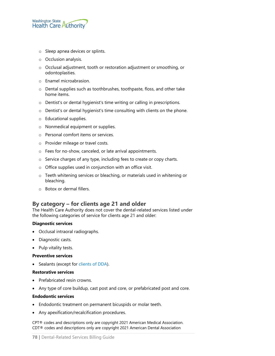

- o Sleep apnea devices or splints.
- o Occlusion analysis.
- o Occlusal adjustment, tooth or restoration adjustment or smoothing, or odontoplasties.
- o Enamel microabrasion.
- o Dental supplies such as toothbrushes, toothpaste, floss, and other take home items.
- o Dentist's or dental hygienist's time writing or calling in prescriptions.
- o Dentist's or dental hygienist's time consulting with clients on the phone.
- o Educational supplies.
- o Nonmedical equipment or supplies.
- o Personal comfort items or services.
- o Provider mileage or travel costs.
- o Fees for no-show, canceled, or late arrival appointments.
- o Service charges of any type, including fees to create or copy charts.
- o Office supplies used in conjunction with an office visit.
- o Teeth whitening services or bleaching, or materials used in whitening or bleaching.
- o Botox or dermal fillers.

### <span id="page-77-0"></span>**By category – for clients age 21 and older**

The Health Care Authority does not cover the dental-related services listed under the following categories of service for clients age 21 and older:

#### **Diagnostic services**

- Occlusal intraoral radiographs.
- Diagnostic casts.
- Pulp vitality tests.

#### **Preventive services**

• Sealants (except for [clients of DDA\)](#page-79-0).

#### **Restorative services**

- Prefabricated resin crowns.
- Any type of core buildup, cast post and core, or prefabricated post and core.

#### **Endodontic services**

- Endodontic treatment on permanent bicuspids or molar teeth.
- Any apexification/recalcification procedures.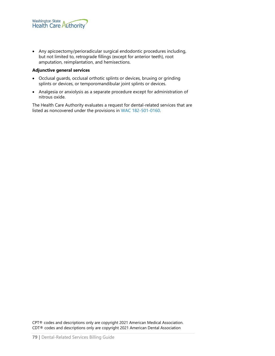• Any apicoectomy/perioradicular surgical endodontic procedures including, but not limited to, retrograde fillings (except for anterior teeth), root amputation, reimplantation, and hemisections.

#### **Adjunctive general services**

- Occlusal guards, occlusal orthotic splints or devices, bruxing or grinding splints or devices, or temporomandibular joint splints or devices.
- Analgesia or anxiolysis as a separate procedure except for administration of nitrous oxide.

The Health Care Authority evaluates a request for dental-related services that are listed as noncovered under the provisions in [WAC 182-501-0160.](http://app.leg.wa.gov/wac/default.aspx?cite=182-501-0160)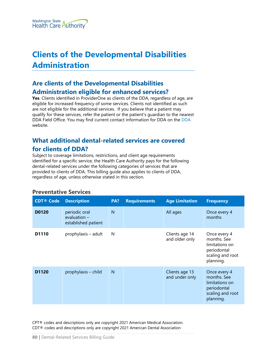# <span id="page-79-0"></span>**Clients of the Developmental Disabilities Administration**

## **Are clients of the Developmental Disabilities Administration eligible for enhanced services?**

**Yes**. Clients identified in ProviderOne as clients of the DDA, regardless of age, are eligible for increased frequency of some services. Clients not identified as such are not eligible for the additional services. If you believe that a patient may qualify for these services, refer the patient or the patient's guardian to the nearest DDA Field Office. You may find current contact information for DDA on the [DDA](https://www.dshs.wa.gov/dda) website.

## **What additional dental-related services are covered for clients of DDA?**

Subject to coverage limitations, restrictions, and client age requirements identified for a specific service, the Health Care Authority pays for the following dental-related services under the following categories of services that are provided to clients of DDA. This billing guide also applies to clients of DDA, regardless of age, unless otherwise stated in this section.

### **Preventative Services**

| <b>CDT® Code</b>  | <b>Description</b>                                     | PA?            | <b>Requirements</b> | <b>Age Limitation</b>            | <b>Frequency</b>                                                                              |
|-------------------|--------------------------------------------------------|----------------|---------------------|----------------------------------|-----------------------------------------------------------------------------------------------|
| D0120             | periodic oral<br>evaluation $-$<br>established patient | N              |                     | All ages                         | Once every 4<br>months                                                                        |
| D <sub>1110</sub> | prophylaxis - adult                                    | N              |                     | Clients age 14<br>and older only | Once every 4<br>months. See<br>limitations on<br>periodontal<br>scaling and root<br>planning. |
| D <sub>1120</sub> | prophylaxis - child                                    | $\overline{N}$ |                     | Clients age 13<br>and under only | Once every 4<br>months. See<br>limitations on<br>periodontal<br>scaling and root<br>planning. |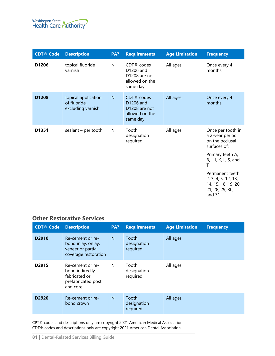

| <b>CDT® Code</b> | <b>Description</b>                                       | PA? | <b>Requirements</b>                                                                  | <b>Age Limitation</b> | <b>Frequency</b>                                                                                                                                                                                                          |
|------------------|----------------------------------------------------------|-----|--------------------------------------------------------------------------------------|-----------------------|---------------------------------------------------------------------------------------------------------------------------------------------------------------------------------------------------------------------------|
| D1206            | topical fluoride<br>varnish                              | N   | $CDT$ <sup>®</sup> codes<br>D1206 and<br>D1208 are not<br>allowed on the<br>same day | All ages              | Once every 4<br>months                                                                                                                                                                                                    |
| D1208            | topical application<br>of fluoride,<br>excluding varnish | N   | CDT <sup>®</sup> codes<br>D1206 and<br>D1208 are not<br>allowed on the<br>same day   | All ages              | Once every 4<br>months                                                                                                                                                                                                    |
| D1351            | sealant $-$ per tooth                                    | N   | Tooth<br>designation<br>required                                                     | All ages              | Once per tooth in<br>a 2-year period<br>on the occlusal<br>surfaces of:<br>Primary teeth A,<br>B, I, J, K, L, S, and<br>т<br>Permanent teeth<br>2, 3, 4, 5, 12, 13,<br>14, 15, 18, 19, 20,<br>21, 28, 29, 30,<br>and $31$ |

### **Other Restorative Services**

| <b>CDT® Code</b>  | <b>Description</b>                                                                     | PA? | <b>Requirements</b>              | <b>Age Limitation</b> | <b>Frequency</b> |
|-------------------|----------------------------------------------------------------------------------------|-----|----------------------------------|-----------------------|------------------|
| D <sub>2910</sub> | Re-cement or re-<br>bond inlay, onlay,<br>veneer or partial<br>coverage restoration    | N   | Tooth<br>designation<br>required | All ages              |                  |
| D <sub>2915</sub> | Re-cement or re-<br>bond indirectly<br>fabricated or<br>prefabricated post<br>and core | N   | Tooth<br>designation<br>required | All ages              |                  |
| D <sub>2920</sub> | Re-cement or re-<br>bond crown                                                         | N   | Tooth<br>designation<br>required | All ages              |                  |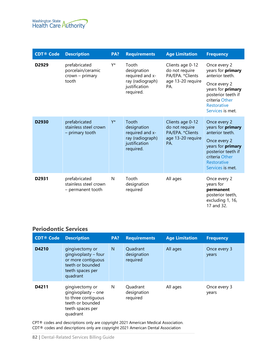

| <b>CDT® Code</b>  | <b>Description</b>                                               | PA?   | <b>Requirements</b>                                                                       | <b>Age Limitation</b>                                                               | <b>Frequency</b>                                                                                                                                                            |
|-------------------|------------------------------------------------------------------|-------|-------------------------------------------------------------------------------------------|-------------------------------------------------------------------------------------|-----------------------------------------------------------------------------------------------------------------------------------------------------------------------------|
| D <sub>2929</sub> | prefabricated<br>porcelain/ceramic<br>$crown - primary$<br>tooth | Y*    | Tooth<br>designation<br>required and x-<br>ray (radiograph)<br>justification<br>required. | Clients age 0-12<br>do not require<br>PA/EPA. *Clients<br>age 13-20 require<br>PA.  | Once every 2<br>years for primary<br>anterior teeth.<br>Once every 2<br>years for <b>primary</b><br>posterior teeth if<br>criteria Other<br>Restorative<br>Services is met. |
| D2930             | prefabricated<br>stainless steel crown<br>- primary tooth        | $Y^*$ | Tooth<br>designation<br>required and x-<br>ray (radiograph)<br>justification<br>required. | Clients age 0-12<br>do not require<br>PA/EPA. * Clients<br>age 13-20 require<br>PA. | Once every 2<br>years for primary<br>anterior teeth.<br>Once every 2<br>years for primary<br>posterior teeth if<br>criteria Other<br>Restorative<br>Services is met.        |
| D2931             | prefabricated<br>stainless steel crown<br>- permanent tooth      | N     | Tooth<br>designation<br>required                                                          | All ages                                                                            | Once every 2<br>years for<br>permanent<br>posterior teeth,<br>excluding 1, 16,<br>17 and 32.                                                                                |

## **Periodontic Services**

| <b>CDT® Code</b> | <b>Description</b>                                                                                                | PA? | <b>Requirements</b>                 | <b>Age Limitation</b> | <b>Frequency</b>      |
|------------------|-------------------------------------------------------------------------------------------------------------------|-----|-------------------------------------|-----------------------|-----------------------|
| D4210            | gingivectomy or<br>gingivoplasty - four<br>or more contiguous<br>teeth or bounded<br>teeth spaces per<br>quadrant | N   | Quadrant<br>designation<br>required | All ages              | Once every 3<br>years |
| D4211            | gingivectomy or<br>gingivoplasty - one<br>to three contiguous<br>teeth or bounded<br>teeth spaces per<br>quadrant | N   | Quadrant<br>designation<br>required | All ages              | Once every 3<br>years |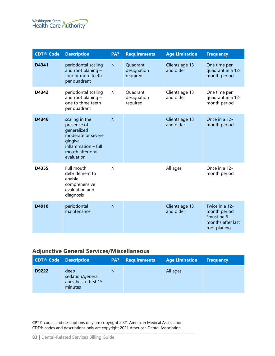

| <b>CDT® Code</b> | <b>Description</b>                                                                                                                      | PA? | <b>Requirements</b>                 | <b>Age Limitation</b>       | <b>Frequency</b>                                                                  |
|------------------|-----------------------------------------------------------------------------------------------------------------------------------------|-----|-------------------------------------|-----------------------------|-----------------------------------------------------------------------------------|
| D4341            | periodontal scaling<br>and root planing -<br>four or more teeth<br>per quadrant                                                         | N   | Quadrant<br>designation<br>required | Clients age 13<br>and older | One time per<br>quadrant in a 12-<br>month period                                 |
| D4342            | periodontal scaling<br>and root planing -<br>one to three teeth<br>per quadrant                                                         | N   | Quadrant<br>designation<br>required | Clients age 13<br>and older | One time per<br>quadrant in a 12-<br>month period                                 |
| D4346            | scaling in the<br>presence of<br>generalized<br>moderate or severe<br>gingival<br>inflammation - full<br>mouth after oral<br>evaluation | N   |                                     | Clients age 13<br>and older | Once in a 12-<br>month period                                                     |
| D4355            | Full mouth<br>debridement to<br>enable<br>comprehensive<br>evaluation and<br>diagnosis                                                  | N   |                                     | All ages                    | Once in a 12-<br>month period                                                     |
| D4910            | periodontal<br>maintenance                                                                                                              | N   |                                     | Clients age 13<br>and older | Twice in a 12-<br>month period<br>*must be 6<br>months after last<br>root planing |

## **Adjunctive General Services/Miscellaneous**

| <b>CDT<sup>®</sup></b> Code Description |                                                            | PA? | <b>Requirements</b> | <b>Age Limitation</b> | <b>Frequency</b> |
|-----------------------------------------|------------------------------------------------------------|-----|---------------------|-----------------------|------------------|
| D9222                                   | deep<br>sedation/general<br>anesthesia-first 15<br>minutes | N   |                     | All ages              |                  |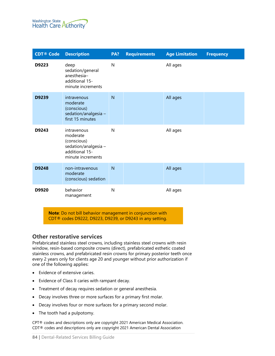

| <b>CDT® Code</b> | <b>Description</b>                                                                                   | PA?          | <b>Requirements</b> | <b>Age Limitation</b> | <b>Frequency</b> |
|------------------|------------------------------------------------------------------------------------------------------|--------------|---------------------|-----------------------|------------------|
| D9223            | deep<br>sedation/general<br>anesthesia-<br>additional 15-<br>minute increments                       | $\mathsf{N}$ |                     | All ages              |                  |
| D9239            | intravenous<br>moderate<br>(conscious)<br>sedation/analgesia -<br>first 15 minutes                   | N            |                     | All ages              |                  |
| D9243            | intravenous<br>moderate<br>(conscious)<br>sedation/analgesia-<br>additional 15-<br>minute increments | N            |                     | All ages              |                  |
| D9248            | non-intravenous<br>moderate<br>(conscious) sedation                                                  | N            |                     | All ages              |                  |
| D9920            | behavior<br>management                                                                               | N            |                     | All ages              |                  |

**Note**: Do not bill behavior management in conjunction with CDT® codes D9222, D9223, D9239, or D9243 in any setting.

### <span id="page-83-0"></span>**Other restorative services**

Prefabricated stainless steel crowns, including stainless steel crowns with resin window, resin-based composite crowns (direct), prefabricated esthetic coated stainless crowns, and prefabricated resin crowns for primary posterior teeth once every 2 years only for clients age 20 and younger without prior authorization if one of the following applies:

- Evidence of extensive caries.
- Evidence of Class II caries with rampant decay.
- Treatment of decay requires sedation or general anesthesia.
- Decay involves three or more surfaces for a primary first molar.
- Decay involves four or more surfaces for a primary second molar.
- The tooth had a pulpotomy.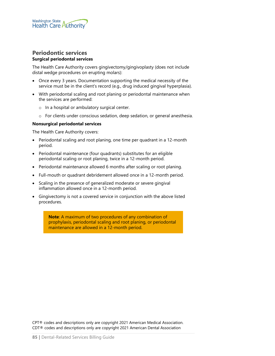

### **Periodontic services Surgical periodontal services**

The Health Care Authority covers gingivectomy/gingivoplasty (does not include distal wedge procedures on erupting molars):

- Once every 3 years. Documentation supporting the medical necessity of the service must be in the client's record (e.g., drug induced gingival hyperplasia).
- With periodontal scaling and root planing or periodontal maintenance when the services are performed:
	- o In a hospital or ambulatory surgical center.
	- o For clients under conscious sedation, deep sedation, or general anesthesia.

#### **Nonsurgical periodontal services**

The Health Care Authority covers:

- Periodontal scaling and root planing, one time per quadrant in a 12-month period.
- Periodontal maintenance (four quadrants) substitutes for an eligible periodontal scaling or root planing, twice in a 12-month period.
- Periodontal maintenance allowed 6 months after scaling or root planing.
- Full-mouth or quadrant debridement allowed once in a 12-month period.
- Scaling in the presence of generalized moderate or severe gingival inflammation allowed once in a 12-month period.
- Gingivectomy is not a covered service in conjunction with the above listed procedures.

**Note**: A maximum of two procedures of any combination of prophylaxis, periodontal scaling and root planing, or periodontal maintenance are allowed in a 12-month period.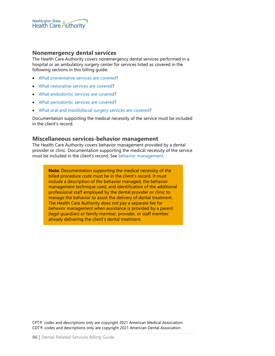

### **Nonemergency dental services**

The Health Care Authority covers nonemergency dental services performed in a hospital or an ambulatory surgery center for services listed as covered in the following sections in this billing guide:

- [What preventative services are covered?](#page-27-0)
- [What restorative services are covered?](#page-32-0)
- [What endodontic services are covered?](#page-40-0)
- [What periodontic services are covered?](#page-43-0)
- [What oral and maxillofacial surgery services are covered?](#page-56-0)

Documentation supporting the medical necessity of the service must be included in the client's record.

### **Miscellaneous services-behavior management**

The Health Care Authority covers behavior management provided by a dental provider or clinic. Documentation supporting the medical necessity of the service must be included in the client's record. See [behavior management.](#page-69-0)

**Note**: Documentation supporting the medical necessity of the billed procedure code must be in the client's record. It must include a description of the behavior managed, the behavior management technique used, and identification of the additional professional staff employed by the dental provider or clinic to manage the behavior to assist the delivery of dental treatment. The Health Care Authority does not pay a separate fee for behavior management when assistance is provided by a parent (legal guardian) or family member, provider, or staff member already delivering the client's dental treatment.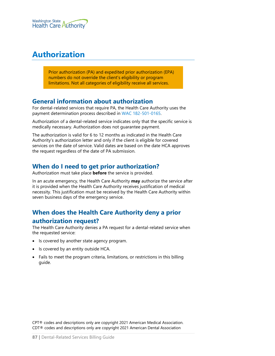

# **Authorization**

Prior authorization (PA) and expedited prior authorization (EPA) numbers do not override the client's eligibility or program limitations. Not all categories of eligibility receive all services.

### **General information about authorization**

For dental-related services that require PA, the Health Care Authority uses the payment determination process described in [WAC 182-501-0165.](http://app.leg.wa.gov/wac/default.aspx?cite=182-501-0165)

Authorization of a dental-related service indicates only that the specific service is medically necessary. Authorization does not guarantee payment.

The authorization is valid for 6 to 12 months as indicated in the Health Care Authority's authorization letter and only if the client is eligible for covered services on the date of service. Valid dates are based on the date HCA approves the request regardless of the date of PA submission.

### **When do I need to get prior authorization?**

Authorization must take place **before** the service is provided.

In an acute emergency, the Health Care Authority **may** authorize the service after it is provided when the Health Care Authority receives justification of medical necessity. This justification must be received by the Health Care Authority within seven business days of the emergency service.

## **When does the Health Care Authority deny a prior authorization request?**

The Health Care Authority denies a PA request for a dental-related service when the requested service:

- Is covered by another state agency program.
- Is covered by an entity outside HCA.
- Fails to meet the program criteria, limitations, or restrictions in this billing guide.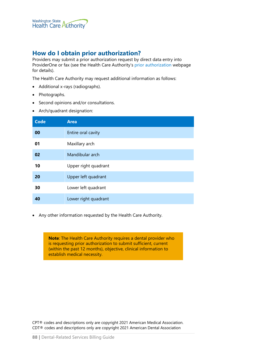### **How do I obtain prior authorization?**

Providers may submit a prior authorization request by direct data entry into ProviderOne or fax (see the Health Care Authority's [prior authorization](https://www.hca.wa.gov/billers-providers-partners/prior-authorization-claims-and-billing/prior-authorization-pa) webpage for details).

The Health Care Authority may request additional information as follows:

- Additional x-rays (radiographs).
- Photographs.
- Second opinions and/or consultations.
- Arch/quadrant designation:

| <b>Code</b> | <b>Area</b>          |
|-------------|----------------------|
| 00          | Entire oral cavity   |
| 01          | Maxillary arch       |
| 02          | Mandibular arch      |
| 10          | Upper right quadrant |
| 20          | Upper left quadrant  |
| 30          | Lower left quadrant  |
| 40          | Lower right quadrant |

• Any other information requested by the Health Care Authority.

**Note**: The Health Care Authority requires a dental provider who is requesting prior authorization to submit sufficient, current (within the past 12 months), objective, clinical information to establish medical necessity.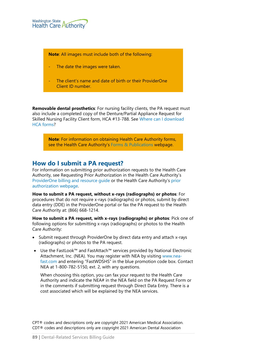

**Note**: All images must include both of the following:

- The date the images were taken.
- The client's name and date of birth or their ProviderOne Client ID number.

**Removable dental prosthetics**: For nursing facility clients, the PA request must also include a completed copy of the Denture/Partial Appliance Request for Skilled Nursing Facility Client form, HCA #13-788. See [Where can I download](#page-2-0)  HCA [forms?](#page-2-0)

**Note**: For information on obtaining Health Care Authority forms, see the Health Care Authority's [Forms & Publications](http://www.hca.wa.gov/billers-providers/forms-and-publications) webpage.

### **How do I submit a PA request?**

For information on submitting prior authorization requests to the Health Care Authority, see Requesting Prior Authorization in the Health Care Authority's [ProviderOne billing and resource guide](http://www.hca.wa.gov/node/311) or the Health Care Authority's [prior](https://www.hca.wa.gov/billers-providers-partners/prior-authorization-claims-and-billing/prior-authorization-pa)  [authorization webpage.](https://www.hca.wa.gov/billers-providers-partners/prior-authorization-claims-and-billing/prior-authorization-pa)

**How to submit a PA request, without x-rays (radiographs) or photos**: For procedures that do not require x-rays (radiographs) or photos, submit by direct data entry (DDE) in the ProviderOne portal or fax the PA request to the Health Care Authority at: (866) 668-1214.

**How to submit a PA request, with x-rays (radiographs) or photos**: Pick one of following options for submitting x-rays (radiographs) or photos to the Health Care Authority:

- Submit request through ProviderOne by direct data entry and attach x-rays (radiographs) or photos to the PA request.
- Use the FastLook™ and FastAttach™ services provided by National Electronic Attachment, Inc. (NEA). You may register with NEA by visiting [www.nea](http://www.nea-fast.com/)[fast.com](http://www.nea-fast.com/) and entering "FastWDSHS" in the blue promotion code box. Contact NEA at 1-800-782-5150, ext. 2, with any questions.

When choosing this option, you can fax your request to the Health Care Authority and indicate the NEA# in the NEA field on the PA Request Form or in the comments if submitting request through Direct Data Entry. There is a cost associated which will be explained by the NEA services.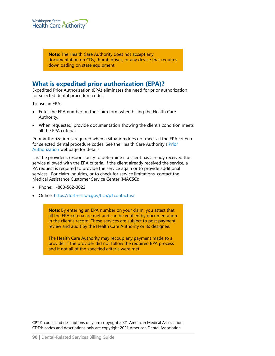

**Note**: The Health Care Authority does not accept any documentation on CDs, thumb drives, or any device that requires downloading on state equipment.

### **What is expedited prior authorization (EPA)?**

Expedited Prior Authorization (EPA) eliminates the need for prior authorization for selected dental procedure codes.

To use an EPA:

- Enter the EPA number on the claim form when billing the Health Care Authority.
- When requested, provide documentation showing the client's condition meets all the EPA criteria.

Prior authorization is required when a situation does not meet all the EPA criteria for selected dental procedure codes. See the Health Care Authority's [Prior](https://www.hca.wa.gov/billers-providers-partners/prior-authorization-claims-and-billing/prior-authorization-pa)  [Authorization](https://www.hca.wa.gov/billers-providers-partners/prior-authorization-claims-and-billing/prior-authorization-pa) webpage for details.

It is the provider's responsibility to determine if a client has already received the service allowed with the EPA criteria. If the client already received the service, a PA request is required to provide the service again or to provide additional services. For claim inquiries, or to check for service limitations, contact the Medical Assistance Customer Service Center (MACSC):

- Phone: 1-800-562-3022
- Online:<https://fortress.wa.gov/hca/p1contactus/>

**Note**: By entering an EPA number on your claim, you attest that all the EPA criteria are met and can be verified by documentation in the client's record. These services are subject to post payment review and audit by the Health Care Authority or its designee.

The Health Care Authority may recoup any payment made to a provider if the provider did not follow the required EPA process and if not all of the specified criteria were met.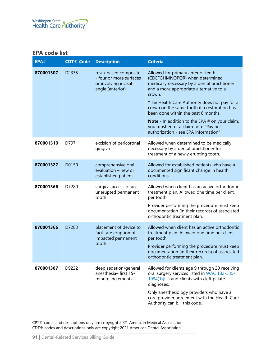### **EPA code list**

| EPA#      | <b>CDT® Code</b> | <b>Description</b>                                                                           | <b>Criteria</b>                                                                                                                                                                                                                                                                                                                                                                                                                                              |
|-----------|------------------|----------------------------------------------------------------------------------------------|--------------------------------------------------------------------------------------------------------------------------------------------------------------------------------------------------------------------------------------------------------------------------------------------------------------------------------------------------------------------------------------------------------------------------------------------------------------|
| 870001307 | D2335            | resin-based composite<br>- four or more surfaces<br>or involving incisal<br>angle (anterior) | Allowed for primary anterior teeth<br>(CDEFGHMNOPQR) when determined<br>medically necessary by a dental practitioner<br>and a more appropriate alternative to a<br>crown.<br>*The Health Care Authority does not pay for a<br>crown on the same tooth if a restoration has<br>been done within the past 6 months.<br><b>Note</b> - In addition to the EPA $#$ on your claim,<br>you must enter a claim note "Pay per<br>authorization - see EPA information" |
| 870001310 | D7971            | excision of pericoronal<br>gingiva                                                           | Allowed when determined to be medically<br>necessary by a dental practitioner for<br>treatment of a newly erupting tooth.                                                                                                                                                                                                                                                                                                                                    |
| 870001327 | D0150            | comprehensive oral<br>evaluation - new or<br>established patient                             | Allowed for established patients who have a<br>documented significant change in health<br>conditions.                                                                                                                                                                                                                                                                                                                                                        |
| 870001366 | D7280            | surgical access of an<br>unerupted permanent<br>tooth                                        | Allowed when client has an active orthodontic<br>treatment plan. Allowed one time per client,<br>per tooth.<br>Provider performing the procedure must keep<br>documentation (in their records) of associated<br>orthodontic treatment plan.                                                                                                                                                                                                                  |
| 870001366 | D7283            | placement of device to<br>facilitate eruption of<br>impacted permanent<br>tooth              | Allowed when client has an active orthodontic<br>treatment plan. Allowed one time per client,<br>per tooth.<br>Provider performing the procedure must keep<br>documentation (in their records) of associated<br>orthodontic treatment plan.                                                                                                                                                                                                                  |
| 870001387 | D9222            | deep sedation/general<br>anesthesia-first 15-<br>minute increments                           | Allowed for clients age 9 through 20 receiving<br>oral surgery services listed in WAC 182-535-<br>1094(1)(f-l) and clients with cleft palate<br>diagnoses.<br>Only anesthesiology providers who have a<br>core provider agreement with the Health Care<br>Authority can bill this code.                                                                                                                                                                      |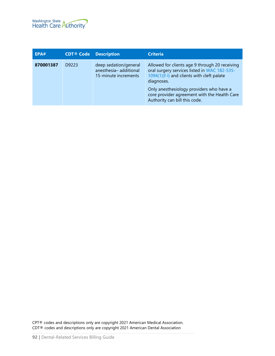

| EPA#      | <b>CDT® Code</b> | <b>Description</b>                                                     | <b>Criteria</b>                                                                                                                                                                                                                                                                         |
|-----------|------------------|------------------------------------------------------------------------|-----------------------------------------------------------------------------------------------------------------------------------------------------------------------------------------------------------------------------------------------------------------------------------------|
| 870001387 | D9223            | deep sedation/general<br>anesthesia-additional<br>15-minute increments | Allowed for clients age 9 through 20 receiving<br>oral surgery services listed in WAC 182-535-<br>1094(1)(f-l) and clients with cleft palate<br>diagnoses.<br>Only anesthesiology providers who have a<br>core provider agreement with the Health Care<br>Authority can bill this code. |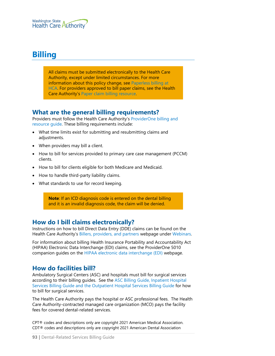

# **Billing**

All claims must be submitted electronically to the Health Care Authority, except under limited circumstances. For more information about this policy change, see [Paperless billing at](http://www.hca.wa.gov/billers-providers/providerone/providerone-billing-and-resource-guide#paperless-billing-at-hca)  [HCA.](http://www.hca.wa.gov/billers-providers/providerone/providerone-billing-and-resource-guide#paperless-billing-at-hca) For providers approved to bill paper claims, see the Health Care Authority's [Paper claim billing resource.](http://www.hca.wa.gov/assets/billers-and-providers/paper-claim-billing-resource.pdf)

### **What are the general billing requirements?**

Providers must follow the Health Care Authority's [ProviderOne billing and](http://www.hca.wa.gov/node/311)  [resource guide.](http://www.hca.wa.gov/node/311) These billing requirements include:

- What time limits exist for submitting and resubmitting claims and adjustments.
- When providers may bill a client.
- How to bill for services provided to primary care case management (PCCM) clients.
- How to bill for clients eligible for both Medicare and Medicaid.
- How to handle third-party liability claims.
- What standards to use for record keeping.

**Note**: If an ICD diagnosis code is entered on the dental billing and it is an invalid diagnosis code, the claim will be denied.

### **How do I bill claims electronically?**

Instructions on how to bill Direct Data Entry (DDE) claims can be found on the Health Care Authority's [Billers, providers, and partners](http://hca.wa.gov/billers-providers) webpage under [Webinars.](http://www.hca.wa.gov/node/2386)

For information about billing Health Insurance Portability and Accountability Act (HIPAA) Electronic Data Interchange (EDI) claims, see the ProviderOne 5010 companion guides on the [HIPAA electronic data interchange \(EDI\)](http://www.hca.wa.gov/node/2336) webpage.

### **How do facilities bill?**

Ambulatory Surgical Centers (ASC) and hospitals must bill for surgical services according to their billing guides. See the [ASC Billing Guide, Inpatient Hospital](https://www.hca.wa.gov/node/301)  [Services Billing Guide and the Outpatient Hospital Services Billing Guide](https://www.hca.wa.gov/node/301) for how to bill for surgical services.

The Health Care Authority pays the hospital or ASC professional fees. The Health Care Authority-contracted managed care organization (MCO) pays the facility fees for covered dental-related services.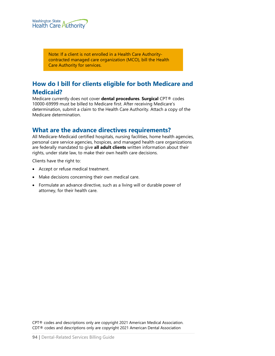

Note: If a client is not enrolled in a Health Care Authoritycontracted managed care organization (MCO), bill the Health Care Authority for services.

## **How do I bill for clients eligible for both Medicare and Medicaid?**

Medicare currently does not cover **dental procedures**. **Surgical** CPT® codes 10000-69999 must be billed to Medicare first. After receiving Medicare's determination, submit a claim to the Health Care Authority. Attach a copy of the Medicare determination.

### **What are the advance directives requirements?**

All Medicare-Medicaid certified hospitals, nursing facilities, home health agencies, personal care service agencies, hospices, and managed health care organizations are federally mandated to give **all adult clients** written information about their rights, under state law, to make their own health care decisions.

Clients have the right to:

- Accept or refuse medical treatment.
- Make decisions concerning their own medical care.
- Formulate an advance directive, such as a living will or durable power of attorney, for their health care.